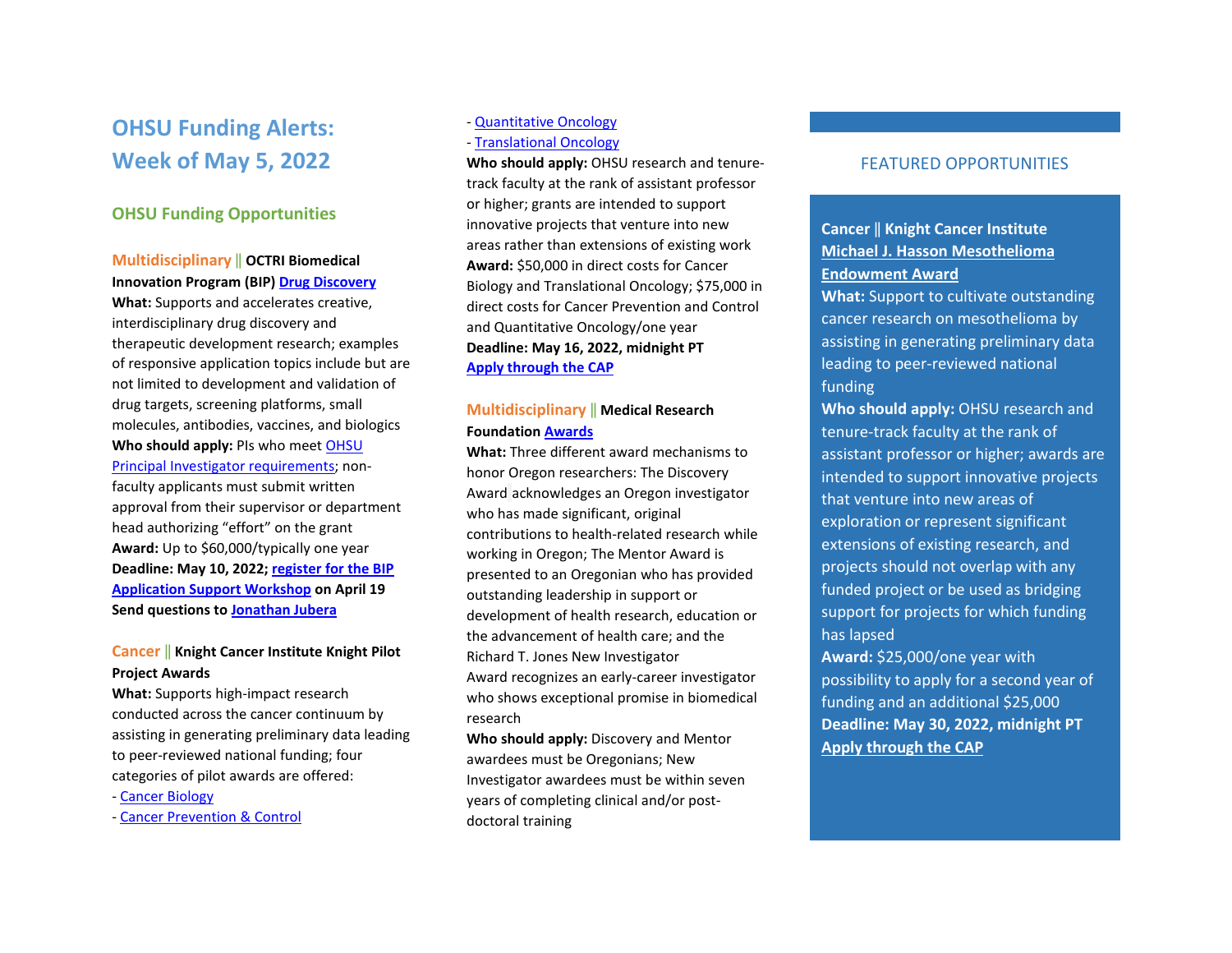# **OHSU Funding Alerts: Week of May 5, 2022**

## **OHSU Funding Opportunities**

#### **Multidisciplinary** ‖ **OCTRI Biomedical Innovation Program (BIP[\) Drug Discovery](chrome-extension://efaidnbmnnnibpcajpcglclefindmkaj/viewer.html?pdfurl=https%3A%2F%2Fwww.ohsu.edu%2Fsites%2Fdefault%2Ffiles%2F2022-03%2FBIP_Drug_RFA_2022_final.pdf&clen=208789&chunk=true)**

**What:** Supports and accelerates creative, interdisciplinary drug discovery and therapeutic development research; examples of responsive application topics include but are not limited to development and validation of drug targets, screening platforms, small molecules, antibodies, vaccines, and biologics **Who should apply:** PIs who mee[t OHSU](https://o2.ohsu.edu/proposal-and-award-management/resources/upload/04-00-005-100-Principal-Investigator-Eligibility-6-14-16.pdf)  [Principal Investigator requirements;](https://o2.ohsu.edu/proposal-and-award-management/resources/upload/04-00-005-100-Principal-Investigator-Eligibility-6-14-16.pdf) nonfaculty applicants must submit written approval from their supervisor or department head authorizing "effort" on the grant **Award:** Up to \$60,000/typically one year **Deadline: May 10, 2022; [register for the BIP](https://www.eventbrite.com/e/ohsus-biomedical-innovation-program-bip-application-support-workshop-tickets-309101600207?utm_source=eventbrite&utm_medium=email&utm_campaign=post_publish&utm_content=shortLinkNewEmail)  [Application Support Workshop](https://www.eventbrite.com/e/ohsus-biomedical-innovation-program-bip-application-support-workshop-tickets-309101600207?utm_source=eventbrite&utm_medium=email&utm_campaign=post_publish&utm_content=shortLinkNewEmail) on April 19 Send questions t[o Jonathan Jubera](mailto:jubera@ohsu.edu)** 

## **Cancer** ‖ **Knight Cancer Institute Knight Pilot Project Awards**

**What:** Supports high-impact research conducted across the cancer continuum by assisting in generating preliminary data leading to peer-reviewed national funding; four categories of pilot awards are offered:

- [Cancer Biology](https://ohsu.infoready4.com/#competitionDetail/1869616)
- [Cancer Prevention & Control](https://ohsu.infoready4.com/#competitionDetail/1869620)

#### - [Quantitative Oncology](https://ohsu.infoready4.com/#competitionDetail/1869619)

- [Translational Oncology](https://ohsu.infoready4.com/#competitionDetail/1869618) 

**Who should apply:** OHSU research and tenuretrack faculty at the rank of assistant professor or higher; grants are intended to support innovative projects that venture into new areas rather than extensions of existing work **Award:** \$50,000 in direct costs for Cancer Biology and Translational Oncology; \$75,000 in direct costs for Cancer Prevention and Control and Quantitative Oncology/one year **Deadline: May 16, 2022, midnight PT [Apply through the CAP](https://ohsu.infoready4.com/)** 

## **Multidisciplinary** ‖ **Medical Research Foundation [Awards](https://ohsu.infoready4.com/#competitionDetail/1868010)**

**What:** Three different award mechanisms to honor Oregon researchers: The Discovery Award acknowledges an Oregon investigator who has made significant, original contributions to health‐related research while working in Oregon; The Mentor Award is presented to an Oregonian who has provided outstanding leadership in support or development of health research, education or the advancement of health care; and the Richard T. Jones New Investigator Award recognizes an early-career investigator who shows exceptional promise in biomedical research

**Who should apply:** Discovery and Mentor awardees must be Oregonians; New Investigator awardees must be within seven years of completing clinical and/or post‐ doctoral training

## FEATURED OPPORTUNITIES

## **Cancer** ‖ **Knight Cancer Institute [Michael J. Hasson Mesothelioma](https://ohsu.infoready4.com/#competitionDetail/1870916)  [Endowment Award](https://ohsu.infoready4.com/#competitionDetail/1870916)**

**What:** Support to cultivate outstanding cancer research on mesothelioma by assisting in generating preliminary data leading to peer-reviewed national funding

**Who should apply:** OHSU research and tenure-track faculty at the rank of assistant professor or higher; awards are intended to support innovative projects that venture into new areas of exploration or represent significant extensions of existing research, and projects should not overlap with any funded project or be used as bridging support for projects for which funding has lapsed

**Award:** \$25,000/one year with possibility to apply for a second year of funding and an additional \$25,000 **Deadline: May 30, 2022, midnight PT [Apply through the CAP](https://ohsu.infoready4.com/#competitionDetail/1870916)**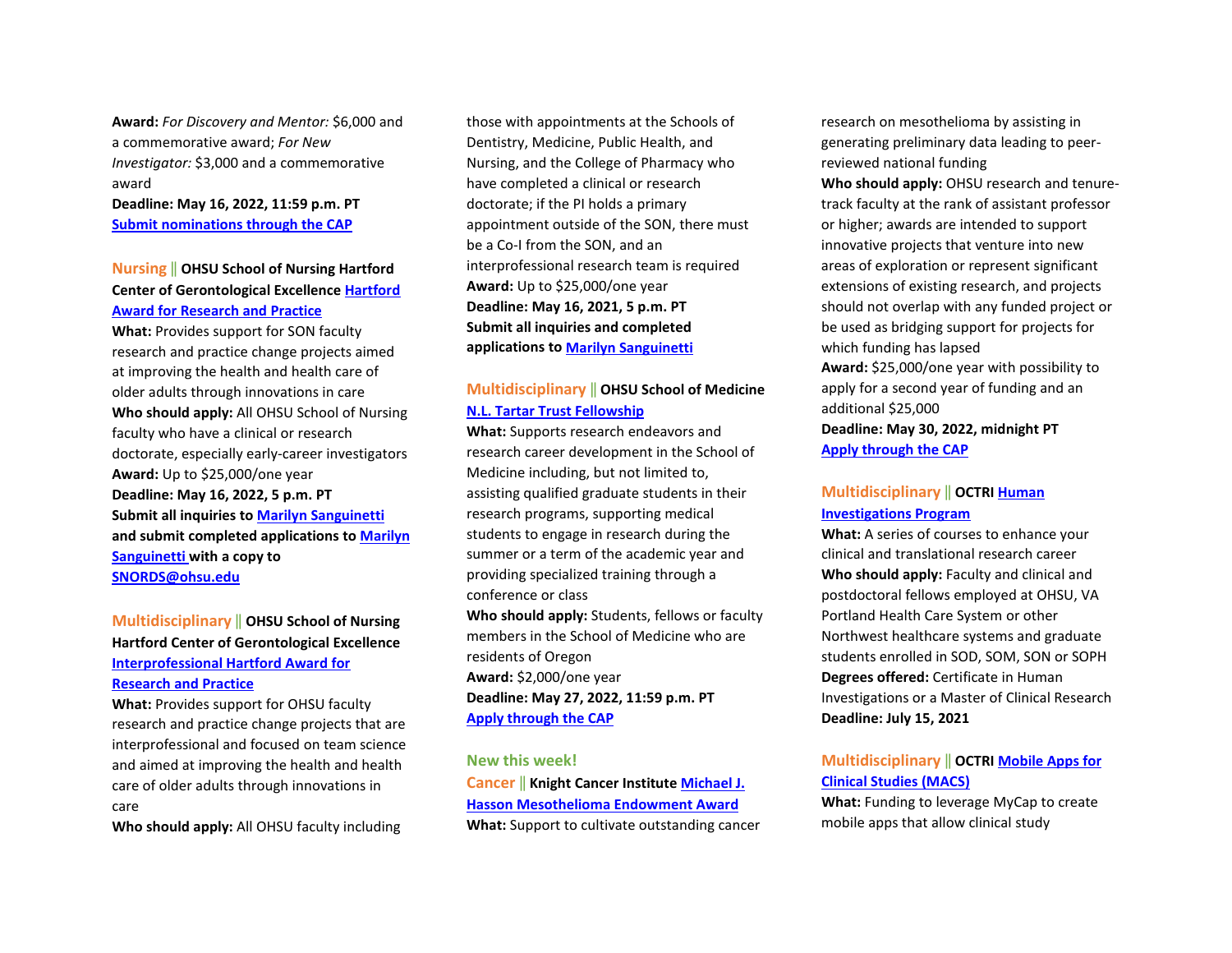**Award:** *For Discovery and Mentor:* \$6,000 and a commemorative award; *For New Investigator:* \$3,000 and a commemorative award

**Deadline: May 16, 2022, 11:59 p.m. PT [Submit nominations through the CAP](https://ohsu.infoready4.com/#competitionDetail/1868010)** 

## **Nursing** ‖ **OHSU School of Nursing Hartford Center of Gerontological Excellenc[e Hartford](https://www.ohsu.edu/school-of-nursing/hartford-center-gerontological-excellence/hartford-award-research-and-practice)  [Award for Research and Practice](https://www.ohsu.edu/school-of-nursing/hartford-center-gerontological-excellence/hartford-award-research-and-practice)**

**What:** Provides support for SON faculty research and practice change projects aimed at improving the health and health care of older adults through innovations in care **Who should apply:** All OHSU School of Nursing faculty who have a clinical or research doctorate, especially early-career investigators **Award:** Up to \$25,000/one year **Deadline: May 16, 2022, 5 p.m. PT Submit all inquiries to [Marilyn Sanguinetti](mailto:sanguine@ohsu.edu) and submit completed applications t[o Marilyn](mailto:sanguine@ohsu.edu)  [Sanguinetti](mailto:sanguine@ohsu.edu) with a copy to [SNORDS@ohsu.edu](mailto:SNORDS@ohsu.edu)**

## **Multidisciplinary** ‖ **OHSU School of Nursing Hartford Center of Gerontological Excellence [Interprofessional Hartford Award for](https://www.ohsu.edu/school-of-nursing/hartford-center-gerontological-excellence/hartford-award-research-and-practice)  [Research and Practice](https://www.ohsu.edu/school-of-nursing/hartford-center-gerontological-excellence/hartford-award-research-and-practice)**

**What:** Provides support for OHSU faculty research and practice change projects that are interprofessional and focused on team science and aimed at improving the health and health care of older adults through innovations in care

**Who should apply:** All OHSU faculty including

those with appointments at the Schools of Dentistry, Medicine, Public Health, and Nursing, and the College of Pharmacy who have completed a clinical or research doctorate; if the PI holds a primary appointment outside of the SON, there must be a Co-I from the SON, and an interprofessional research team is required **Award:** Up to \$25,000/one year **Deadline: May 16, 2021, 5 p.m. PT Submit all inquiries and completed applications t[o Marilyn Sanguinetti](mailto:sanguine@ohsu.edu)** 

## **Multidisciplinary** ‖ **OHSU School of Medicine [N.L. Tartar Trust Fellowship](https://ohsu.infoready4.com/#competitionDetail/1866435)**

**What:** Supports research endeavors and research career development in the School of Medicine including, but not limited to, assisting qualified graduate students in their research programs, supporting medical students to engage in research during the summer or a term of the academic year and providing specialized training through a conference or class **Who should apply:** Students, fellows or faculty members in the School of Medicine who are

residents of Oregon **Award:** \$2,000/one year **Deadline: May 27, 2022, 11:59 p.m. PT [Apply through the CAP](https://ohsu.infoready4.com/#competitionDetail/1866435)** 

#### **New this week!**

**Cancer** ‖ **Knight Cancer Institut[e Michael J.](https://ohsu.infoready4.com/#competitionDetail/1870916)  [Hasson Mesothelioma Endowment Award](https://ohsu.infoready4.com/#competitionDetail/1870916) What:** Support to cultivate outstanding cancer research on mesothelioma by assisting in generating preliminary data leading to peerreviewed national funding **Who should apply:** OHSU research and tenuretrack faculty at the rank of assistant professor or higher; awards are intended to support innovative projects that venture into new areas of exploration or represent significant extensions of existing research, and projects should not overlap with any funded project or be used as bridging support for projects for which funding has lapsed **Award:** \$25,000/one year with possibility to apply for a second year of funding and an additional \$25,000 **Deadline: May 30, 2022, midnight PT [Apply through the CAP](https://ohsu.infoready4.com/#competitionDetail/1870916)** 

## **Multidisciplinary** ‖ **OCTR[I Human](https://www.ohsu.edu/school-of-medicine/human-investigations-program)  [Investigations Program](https://www.ohsu.edu/school-of-medicine/human-investigations-program)**

**What:** A series of courses to enhance your clinical and translational research career **Who should apply:** Faculty and clinical and postdoctoral fellows employed at OHSU, VA Portland Health Care System or other Northwest healthcare systems and graduate students enrolled in SOD, SOM, SON or SOPH **Degrees offered:** Certificate in Human Investigations or a Master of Clinical Research **Deadline: July 15, 2021** 

## **Multidisciplinary** ‖ **OCTR[I Mobile Apps for](https://www.ohsu.edu/octri/pilot-awards-where-translation-begins#:%7E:text=Each%20year%2C%20OCTRI%20awards%20pilot,the%20development%20of%20translational%20research.)  [Clinical Studies \(MACS\)](https://www.ohsu.edu/octri/pilot-awards-where-translation-begins#:%7E:text=Each%20year%2C%20OCTRI%20awards%20pilot,the%20development%20of%20translational%20research.)**

**What:** Funding to leverage MyCap to create mobile apps that allow clinical study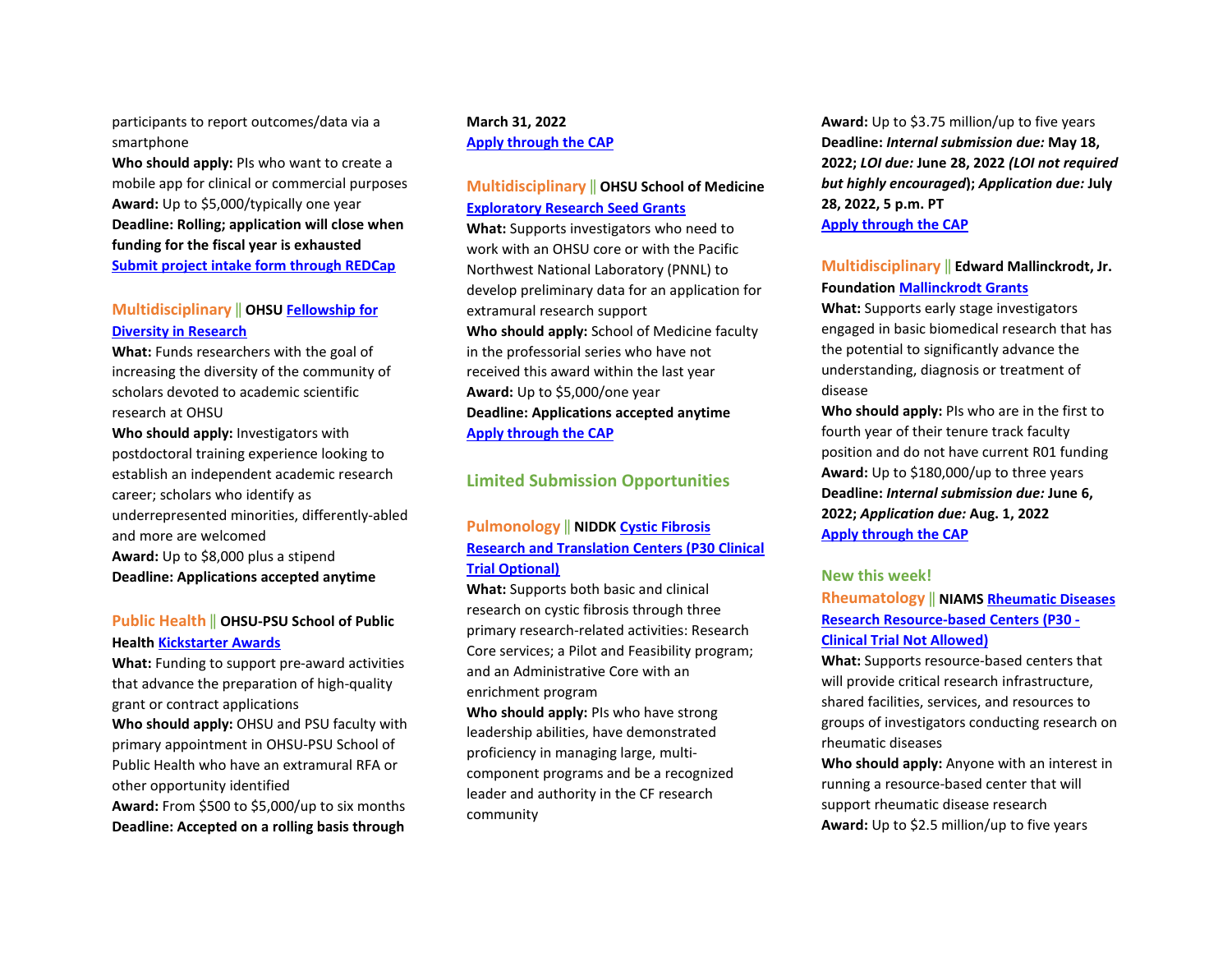participants to report outcomes/data via a smartphone

**Who should apply:** PIs who want to create a mobile app for clinical or commercial purposes **Award:** Up to \$5,000/typically one year **Deadline: Rolling; application will close when funding for the fiscal year is exhausted [Submit project intake form through REDCap](https://octri.ohsu.edu/redcap/surveys/?s=XAD7LYC8TC)**

## **Multidisciplinary** ‖ **OHSU [Fellowship for](https://ohsu.infoready4.com/#competitionDetail/1734209)  [Diversity in Research](https://ohsu.infoready4.com/#competitionDetail/1734209)**

**What:** Funds researchers with the goal of increasing the diversity of the community of scholars devoted to academic scientific research at OHSU

**Who should apply:** Investigators with postdoctoral training experience looking to establish an independent academic research career; scholars who identify as underrepresented minorities, differently-abled and more are welcomed **Award:** Up to \$8,000 plus a stipend **Deadline: Applications accepted anytime** 

#### **Public Health** ‖ **OHSU-PSU School of Public Health [Kickstarter Awards](https://blogs.ohsu.edu/researchnews/files/2021/04/2021-22-SPH-Kickstarter.pdf)**

**What:** Funding to support pre-award activities that advance the preparation of high-quality grant or contract applications **Who should apply:** OHSU and PSU faculty with primary appointment in OHSU-PSU School of Public Health who have an extramural RFA or other opportunity identified **Award:** From \$500 to \$5,000/up to six months **Deadline: Accepted on a rolling basis through** 

#### **March 31, 2022 [Apply through the CAP](https://ohsu.infoready4.com/#competitionDetail/1841551)**

## **Multidisciplinary** ‖ **OHSU School of Medicine [Exploratory Research Seed Grants](https://ohsu.infoready4.com/#competitionDetail/1825440)**

**What:** Supports investigators who need to work with an OHSU core or with the Pacific Northwest National Laboratory (PNNL) to develop preliminary data for an application for extramural research support **Who should apply:** School of Medicine faculty in the professorial series who have not received this award within the last year **Award:** Up to \$5,000/one year **Deadline: Applications accepted anytime [Apply through the CAP](https://ohsu.infoready4.com/#competitionDetail/1825440)**

## **Limited Submission Opportunities**

#### **Pulmonology** ‖ **NIDD[K Cystic Fibrosis](https://grants.nih.gov/grants/guide/rfa-files/RFA-DK-22-011.html)  [Research and Translation Centers \(P30 Clinical](https://grants.nih.gov/grants/guide/rfa-files/RFA-DK-22-011.html)  [Trial Optional\)](https://grants.nih.gov/grants/guide/rfa-files/RFA-DK-22-011.html)**

**What:** Supports both basic and clinical research on cystic fibrosis through three primary research-related activities: Research Core services; a Pilot and Feasibility program; and an Administrative Core with an enrichment program

**Who should apply:** PIs who have strong leadership abilities, have demonstrated proficiency in managing large, multicomponent programs and be a recognized leader and authority in the CF research community

**Award:** Up to \$3.75 million/up to five years **Deadline:** *Internal submission due:* **May 18, 2022;** *LOI due:* **June 28, 2022** *(LOI not required but highly encouraged***);** *Application due:* **July 28, 2022, 5 p.m. PT [Apply through the CAP](https://ohsu.infoready4.com/#competitionDetail/1870109)** 

#### **Multidisciplinary** ‖ **Edward Mallinckrodt, Jr. Foundation [Mallinckrodt Grants](https://emallinckrodtfoundation.org/home-page)**

**What:** Supports early stage investigators engaged in basic biomedical research that has the potential to significantly advance the understanding, diagnosis or treatment of disease

**Who should apply:** PIs who are in the first to fourth year of their tenure track faculty position and do not have current R01 funding **Award:** Up to \$180,000/up to three years **Deadline:** *Internal submission due:* **June 6, 2022;** *Application due:* **Aug. 1, 2022 [Apply through the CAP](https://ohsu.infoready4.com/#competitionDetail/1870666)** 

#### **New this week!**

**Rheumatology** ‖ **NIAM[S Rheumatic Diseases](https://grants.nih.gov/grants/guide/rfa-files/RFA-AR-23-002.html)  [Research Resource-based Centers \(P30 -](https://grants.nih.gov/grants/guide/rfa-files/RFA-AR-23-002.html)  [Clinical Trial Not Allowed\)](https://grants.nih.gov/grants/guide/rfa-files/RFA-AR-23-002.html)** 

**What:** Supports resource-based centers that will provide critical research infrastructure, shared facilities, services, and resources to groups of investigators conducting research on rheumatic diseases

**Who should apply:** Anyone with an interest in running a resource-based center that will support rheumatic disease research **Award:** Up to \$2.5 million/up to five years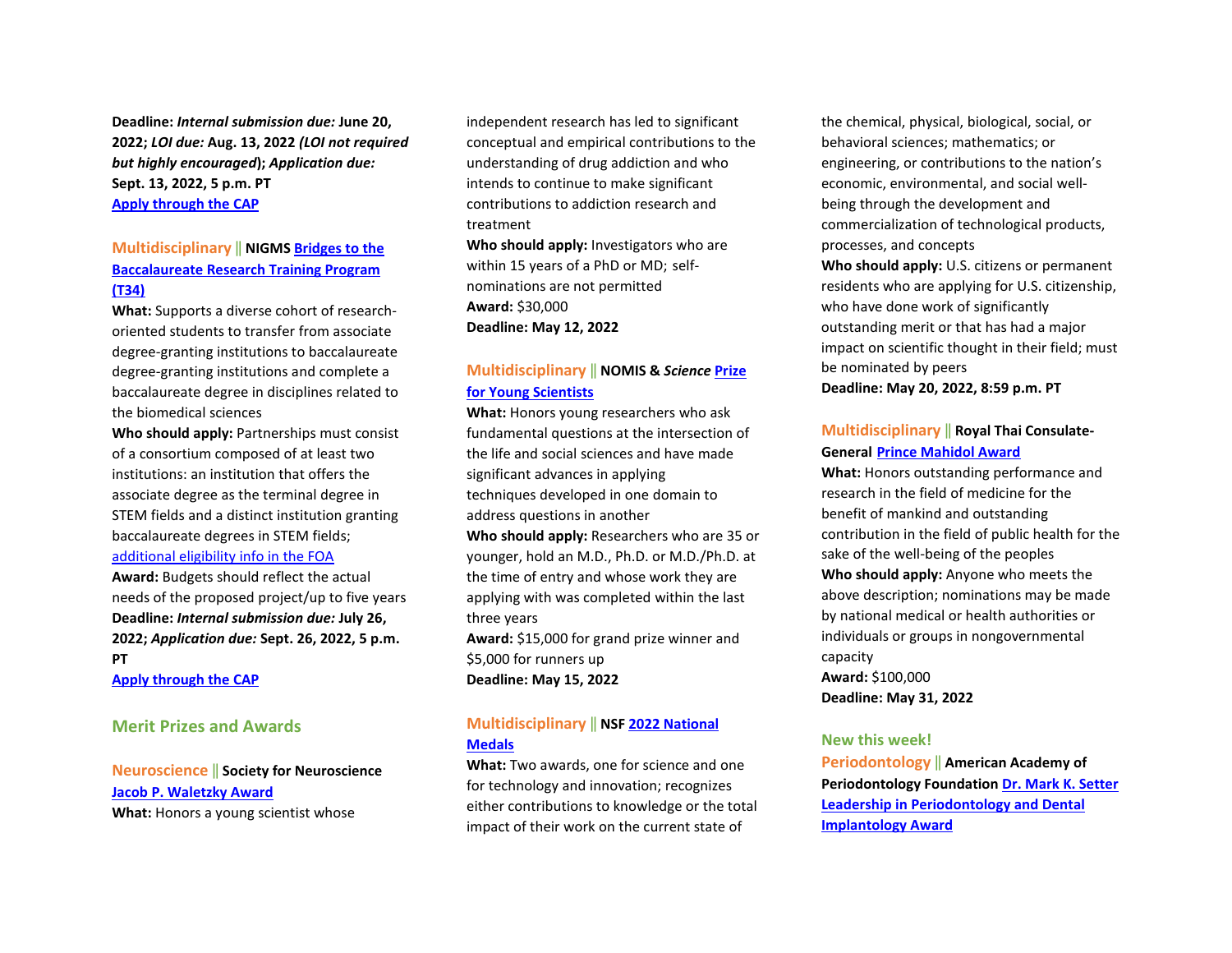**Deadline:** *Internal submission due:* **June 20, 2022;** *LOI due:* **Aug. 13, 2022** *(LOI not required but highly encouraged***);** *Application due:* **Sept. 13, 2022, 5 p.m. PT [Apply through the CAP](https://ohsu.infoready4.com/#competitionDetail/1871041)** 

## **Multidisciplinary** ‖ **NIGMS [Bridges to the](https://grants.nih.gov/grants/guide/pa-files/PAR-22-125.html)  [Baccalaureate Research Training Program](https://grants.nih.gov/grants/guide/pa-files/PAR-22-125.html)  [\(T34\)](https://grants.nih.gov/grants/guide/pa-files/PAR-22-125.html)**

**What:** Supports a diverse cohort of researchoriented students to transfer from associate degree-granting institutions to baccalaureate degree-granting institutions and complete a baccalaureate degree in disciplines related to the biomedical sciences

**Who should apply:** Partnerships must consist of a consortium composed of at least two institutions: an institution that offers the associate degree as the terminal degree in STEM fields and a distinct institution granting baccalaureate degrees in STEM fields; [additional eligibility info in the FOA](https://grants.nih.gov/grants/guide/pa-files/PAR-22-125.html#_Section_III._Eligibility) 

**Award:** Budgets should reflect the actual needs of the proposed project/up to five years **Deadline:** *Internal submission due:* **July 26, 2022;** *Application due:* **Sept. 26, 2022, 5 p.m. PT**

**[Apply through the CAP](https://ohsu.infoready4.com/#competitionDetail/1869946)** 

#### **Merit Prizes and Awards**

**Neuroscience** ‖ **Society for Neuroscience [Jacob P. Waletzky Award](https://www.sfn.org/careers/awards/lifetime/jacob-p-waletzky-award) What:** Honors a young scientist whose

independent research has led to significant conceptual and empirical contributions to the understanding of drug addiction and who intends to continue to make significant contributions to addiction research and treatment

**Who should apply:** Investigators who are within 15 years of a PhD or MD; selfnominations are not permitted **Award:** \$30,000 **Deadline: May 12, 2022** 

## **Multidisciplinary** ‖ **NOMIS &** *Science* **[Prize](https://www.science.org/content/page/science-scilifelab-prize-young-scientists)  [for Young Scientists](https://www.science.org/content/page/science-scilifelab-prize-young-scientists)**

**What:** Honors young researchers who ask fundamental questions at the intersection of the life and social sciences and have made significant advances in applying techniques developed in one domain to address questions in another **Who should apply:** Researchers who are 35 or younger, hold an M.D., Ph.D. or M.D./Ph.D. at the time of entry and whose work they are applying with was completed within the last three years **Award:** \$15,000 for grand prize winner and \$5,000 for runners up

**Deadline: May 15, 2022** 

## **Multidisciplinary** ‖ **NSF [2022 National](https://www.nsf.gov/od/nms/flyers/NMS-and-NMTI-%20Medals-flyer-2022.pdf?utm_medium=email&utm_source=govdelivery)  [Medals](https://www.nsf.gov/od/nms/flyers/NMS-and-NMTI-%20Medals-flyer-2022.pdf?utm_medium=email&utm_source=govdelivery)**

**What:** Two awards, one for science and one for technology and innovation; recognizes either contributions to knowledge or the total impact of their work on the current state of

the chemical, physical, biological, social, or behavioral sciences; mathematics; or engineering, or contributions to the nation's economic, environmental, and social wellbeing through the development and commercialization of technological products, processes, and concepts

**Who should apply:** U.S. citizens or permanent residents who are applying for U.S. citizenship, who have done work of significantly outstanding merit or that has had a major impact on scientific thought in their field; must be nominated by peers

**Deadline: May 20, 2022, 8:59 p.m. PT** 

## **Multidisciplinary** ‖ **Royal Thai Consulate-General [Prince Mahidol Award](https://www.princemahidolaward.org/categories-of-the-award/)**

**What:** Honors outstanding performance and research in the field of medicine for the benefit of mankind and outstanding contribution in the field of public health for the sake of the well-being of the peoples **Who should apply:** Anyone who meets the above description; nominations may be made by national medical or health authorities or individuals or groups in nongovernmental capacity **Award:** \$100,000

**Deadline: May 31, 2022** 

#### **New this week!**

**Periodontology** ‖ **American Academy of Periodontology Foundation [Dr. Mark K. Setter](https://www.periofoundation.org/awards/29-education-awards/128-dr-mark-k-setter-leadership-in-periodontology-and-dental-implantology-award%5d/)  [Leadership in Periodontology and Dental](https://www.periofoundation.org/awards/29-education-awards/128-dr-mark-k-setter-leadership-in-periodontology-and-dental-implantology-award%5d/)  [Implantology Award](https://www.periofoundation.org/awards/29-education-awards/128-dr-mark-k-setter-leadership-in-periodontology-and-dental-implantology-award%5d/)**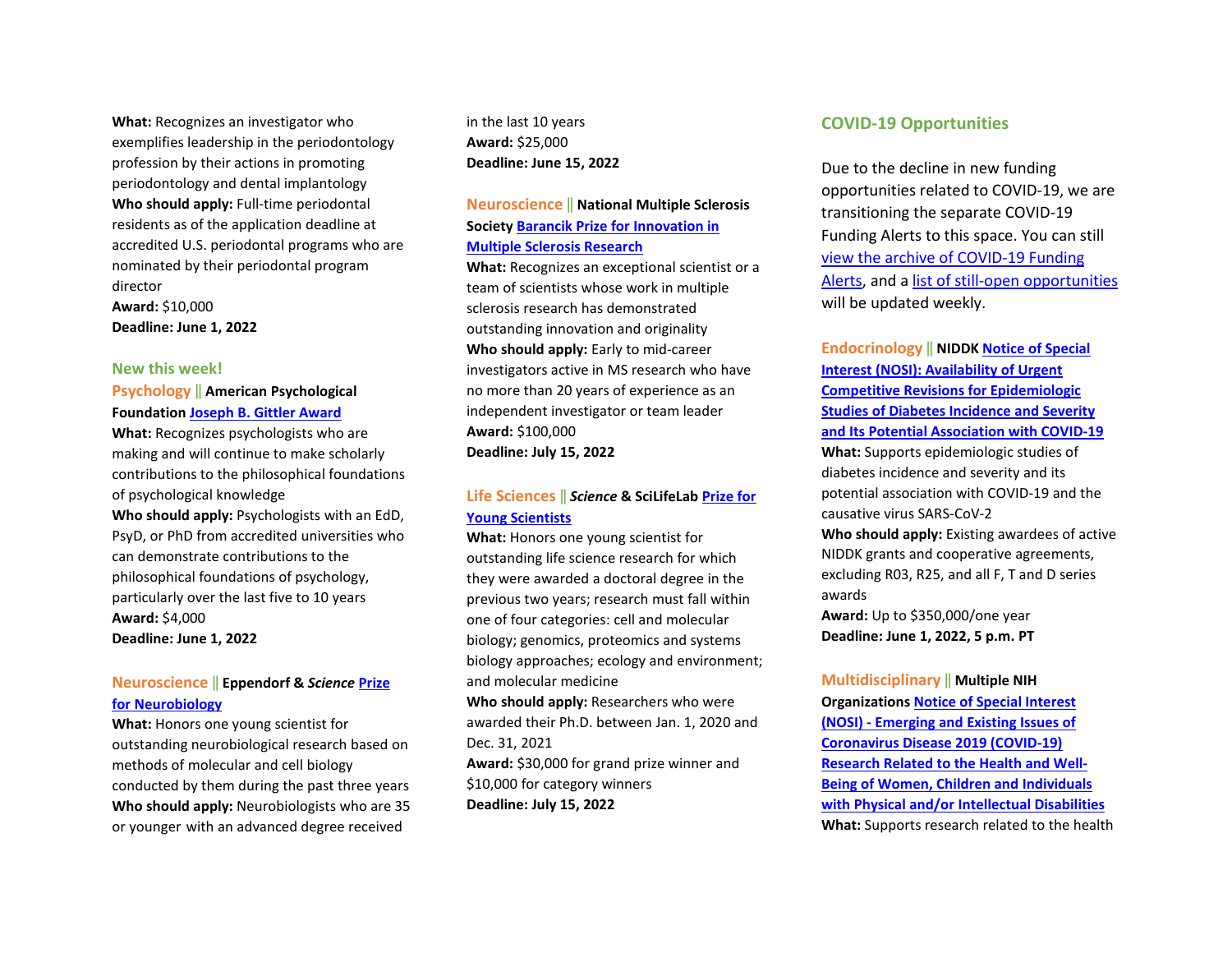**What:** Recognizes an investigator who exemplifies leadership in the periodontology profession by their actions in promoting periodontology and dental implantology **Who should apply:** Full-time periodontal residents as of the application deadline at accredited U.S. periodontal programs who are nominated by their periodontal program director **Award:** \$10,000

**Deadline: June 1, 2022** 

#### **New this week!**

**Psychology** ‖ **American Psychological Foundation [Joseph B. Gittler Award](https://www.apa.org/apf/funding/gittler?tab=1)** 

**What:** Recognizes psychologists who are making and will continue to make scholarly contributions to the philosophical foundations of psychological knowledge

**Who should apply:** Psychologists with an EdD, PsyD, or PhD from accredited universities who can demonstrate contributions to the philosophical foundations of psychology, particularly over the last five to 10 years **Award:** \$4,000 **Deadline: June 1, 2022** 

#### **Neuroscience** ‖ **Eppendorf &** *Science* **[Prize](https://www.science.org/content/page/eppendorf-and-science-prize-neurobiology)  [for Neurobiology](https://www.science.org/content/page/eppendorf-and-science-prize-neurobiology)**

**What:** Honors one young scientist for outstanding neurobiological research based on methods of molecular and cell biology conducted by them during the past three years **Who should apply:** Neurobiologists who are 35 or younger with an advanced degree received

in the last 10 years **Award:** \$25,000 **Deadline: June 15, 2022** 

#### **Neuroscience** ‖ **National Multiple Sclerosis Society [Barancik Prize for Innovation in](https://www.nationalmssociety.org/For-Professionals/Researchers/Society-Funding/Special-Awards-and-Prizes-(1)/Barancik-Prize-for-Innovation-in-MS-Research)  [Multiple Sclerosis Research](https://www.nationalmssociety.org/For-Professionals/Researchers/Society-Funding/Special-Awards-and-Prizes-(1)/Barancik-Prize-for-Innovation-in-MS-Research)**

**What:** Recognizes an exceptional scientist or a team of scientists whose work in multiple sclerosis research has demonstrated outstanding innovation and originality **Who should apply:** Early to mid-career investigators active in MS research who have no more than 20 years of experience as an independent investigator or team leader **Award:** \$100,000 **Deadline: July 15, 2022** 

## **Life Sciences** ‖ *Science* **& SciLifeLab [Prize for](https://www.science.org/content/page/science-scilifelab-prize-young-scientists)  [Young Scientists](https://www.science.org/content/page/science-scilifelab-prize-young-scientists)**

**What:** Honors one young scientist for outstanding life science research for which they were awarded a doctoral degree in the previous two years; research must fall within one of four categories: cell and molecular biology; genomics, proteomics and systems biology approaches; ecology and environment; and molecular medicine

**Who should apply:** Researchers who were awarded their Ph.D. between Jan. 1, 2020 and Dec. 31, 2021 **Award:** \$30,000 for grand prize winner and \$10,000 for category winners **Deadline: July 15, 2022** 

#### **COVID-19 Opportunities**

Due to the decline in new funding opportunities related to COVID-19, we are transitioning the separate COVID-19 Funding Alerts to this space. You can still [view the archive of COVID](https://blogs.ohsu.edu/researchnews/tag/covid-19-funding/)-19 Funding [Alerts,](https://blogs.ohsu.edu/researchnews/tag/covid-19-funding/) and a list of still-[open opportunities](https://blogs.ohsu.edu/researchnews/2021/06/17/ohsu-covid-19-fu%E2%80%A6en-opportunities/) will be updated weekly.

**Endocrinology** ‖ **NIDD[K Notice of Special](https://grants.nih.gov/grants/guide/notice-files/NOT-DK-22-017.html)  [Interest \(NOSI\): Availability of Urgent](https://grants.nih.gov/grants/guide/notice-files/NOT-DK-22-017.html)  [Competitive Revisions for Epidemiologic](https://grants.nih.gov/grants/guide/notice-files/NOT-DK-22-017.html)  [Studies of Diabetes Incidence and Severity](https://grants.nih.gov/grants/guide/notice-files/NOT-DK-22-017.html)  [and Its Potential Association with COVID-19](https://grants.nih.gov/grants/guide/notice-files/NOT-DK-22-017.html)  What:** Supports epidemiologic studies of diabetes incidence and severity and its potential association with COVID-19 and the causative virus SARS-CoV-2 **Who should apply:** Existing awardees of active NIDDK grants and cooperative agreements, excluding R03, R25, and all F, T and D series awards **Award:** Up to \$350,000/one year

**Deadline: June 1, 2022, 5 p.m. PT** 

#### **Multidisciplinary** ‖ **Multiple NIH**

**Organization[s Notice of Special Interest](https://grants.nih.gov/grants/guide/notice-files/NOT-HD-22-002.html)  [\(NOSI\) - Emerging and Existing Issues of](https://grants.nih.gov/grants/guide/notice-files/NOT-HD-22-002.html)  [Coronavirus Disease 2019 \(COVID-19\)](https://grants.nih.gov/grants/guide/notice-files/NOT-HD-22-002.html)  [Research Related to the Health and Well-](https://grants.nih.gov/grants/guide/notice-files/NOT-HD-22-002.html)[Being of Women, Children and Individuals](https://grants.nih.gov/grants/guide/notice-files/NOT-HD-22-002.html)  [with Physical and/or Intellectual Disabilities](https://grants.nih.gov/grants/guide/notice-files/NOT-HD-22-002.html)  What:** Supports research related to the health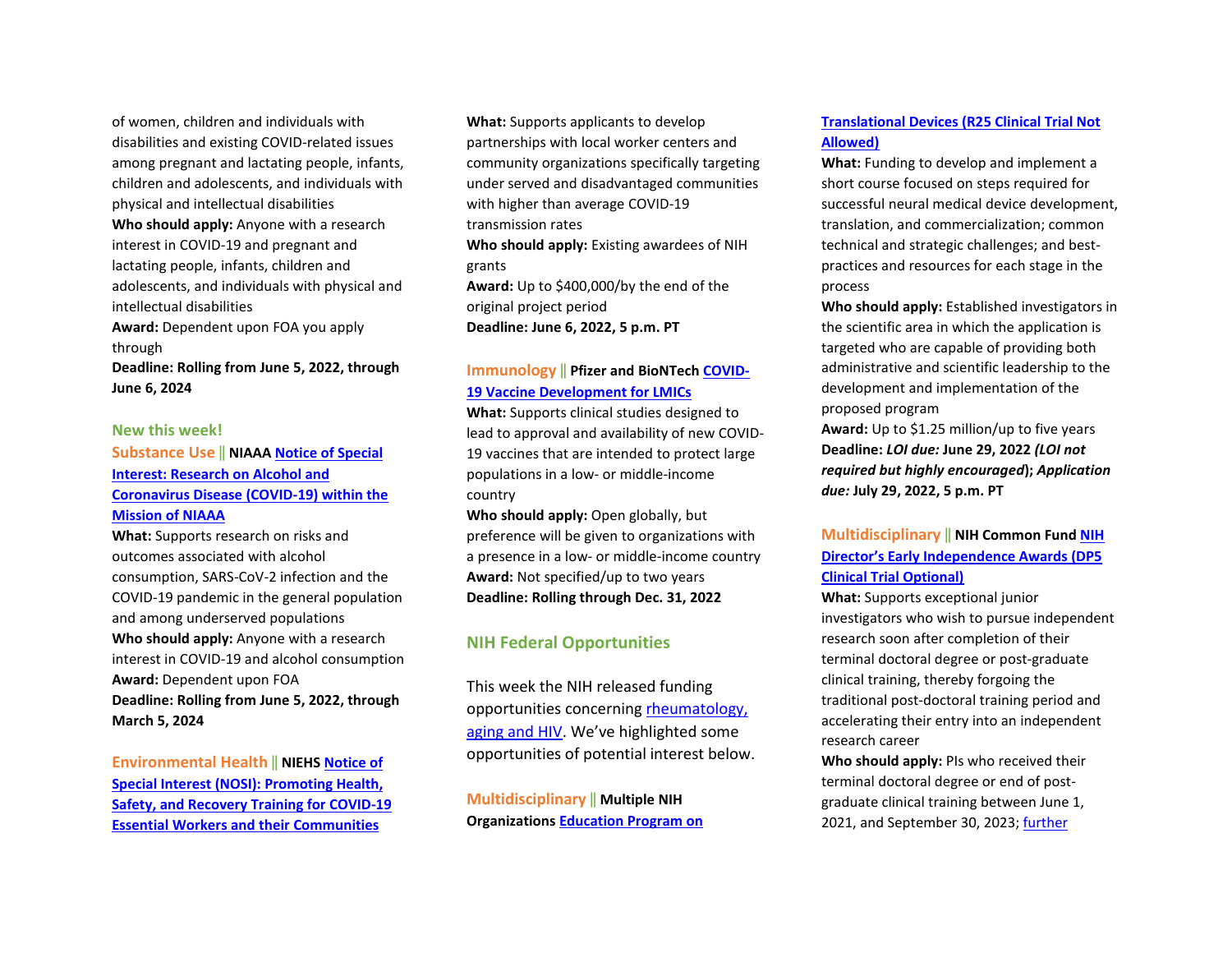of women, children and individuals with disabilities and existing COVID-related issues among pregnant and lactating people, infants, children and adolescents, and individuals with physical and intellectual disabilities **Who should apply:** Anyone with a research interest in COVID-19 and pregnant and lactating people, infants, children and adolescents, and individuals with physical and intellectual disabilities **Award:** Dependent upon FOA you apply through

**Deadline: Rolling from June 5, 2022, through June 6, 2024** 

#### **New this week!**

## **Substance Use** ‖ **NIAAA [Notice of Special](https://grants.nih.gov/grants/guide/notice-files/NOT-AA-22-012.html)  [Interest: Research on Alcohol and](https://grants.nih.gov/grants/guide/notice-files/NOT-AA-22-012.html)  [Coronavirus Disease \(COVID-19\) within the](https://grants.nih.gov/grants/guide/notice-files/NOT-AA-22-012.html)  [Mission of NIAAA](https://grants.nih.gov/grants/guide/notice-files/NOT-AA-22-012.html)**

**What:** Supports research on risks and outcomes associated with alcohol consumption, SARS-CoV-2 infection and the COVID-19 pandemic in the general population and among underserved populations **Who should apply:** Anyone with a research interest in COVID-19 and alcohol consumption **Award:** Dependent upon FOA **Deadline: Rolling from June 5, 2022, through March 5, 2024** 

**Environmental Health** ‖ **NIEH[S Notice of](https://grants.nih.gov/grants/guide/notice-files/NOT-ES-22-005.html)  [Special Interest \(NOSI\): Promoting Health,](https://grants.nih.gov/grants/guide/notice-files/NOT-ES-22-005.html)  [Safety, and Recovery Training for COVID-19](https://grants.nih.gov/grants/guide/notice-files/NOT-ES-22-005.html)  [Essential Workers and their Communities](https://grants.nih.gov/grants/guide/notice-files/NOT-ES-22-005.html)** 

**What:** Supports applicants to develop partnerships with local worker centers and community organizations specifically targeting under served and disadvantaged communities with higher than average COVID-19 transmission rates **Who should apply:** Existing awardees of NIH grants

**Award:** Up to \$400,000/by the end of the original project period **Deadline: June 6, 2022, 5 p.m. PT** 

#### **Immunology** ‖ **Pfizer and BioNTech [COVID-](https://cdn.pfizer.com/pfizercom/2022-02/2022%20VAC%20G%20COVID-19%20Vaccine%20Development%20for%20LMIC_0.pdf?uzs_X6OsunI1c9QpQUpj3JFOdqf89_dZ)[19 Vaccine Development for LMICs](https://cdn.pfizer.com/pfizercom/2022-02/2022%20VAC%20G%20COVID-19%20Vaccine%20Development%20for%20LMIC_0.pdf?uzs_X6OsunI1c9QpQUpj3JFOdqf89_dZ)**

**What:** Supports clinical studies designed to lead to approval and availability of new COVID-19 vaccines that are intended to protect large populations in a low- or middle-income country

**Who should apply:** Open globally, but preference will be given to organizations with a presence in a low- or middle-income country **Award:** Not specified/up to two years **Deadline: Rolling through Dec. 31, 2022** 

## **NIH Federal Opportunities**

This week the NIH released funding opportunities concerning [rheumatology,](https://grants.nih.gov/grants/guide/WeeklyIndexMobile.cfm?WeekEnding=04-29-2022)  [aging and HIV.](https://grants.nih.gov/grants/guide/WeeklyIndexMobile.cfm?WeekEnding=04-29-2022) We've highlighted some opportunities of potential interest below.

**Multidisciplinary** ‖ **Multiple NIH Organization[s Education Program on](https://grants.nih.gov/grants/guide/pa-files/PAR-22-146.html)** 

#### **[Translational Devices \(R25 Clinical Trial Not](https://grants.nih.gov/grants/guide/pa-files/PAR-22-146.html)  [Allowed\)](https://grants.nih.gov/grants/guide/pa-files/PAR-22-146.html)**

**What:** Funding to develop and implement a short course focused on steps required for successful neural medical device development, translation, and commercialization; common technical and strategic challenges; and bestpractices and resources for each stage in the process

**Who should apply:** Established investigators in the scientific area in which the application is targeted who are capable of providing both administrative and scientific leadership to the development and implementation of the proposed program

**Award:** Up to \$1.25 million/up to five years **Deadline:** *LOI due:* **June 29, 2022** *(LOI not required but highly encouraged***);** *Application due:* **July 29, 2022, 5 p.m. PT**

## **Multidisciplinary** ‖ **NIH Common Fun[d NIH](https://grants.nih.gov/grants/guide/rfa-files/RFA-RM-22-021.html)  [Director's Early Independence Awards \(DP5](https://grants.nih.gov/grants/guide/rfa-files/RFA-RM-22-021.html)  [Clinical Trial Optional\)](https://grants.nih.gov/grants/guide/rfa-files/RFA-RM-22-021.html)**

**What:** Supports exceptional junior investigators who wish to pursue independent research soon after completion of their terminal doctoral degree or post-graduate clinical training, thereby forgoing the traditional post-doctoral training period and accelerating their entry into an independent research career

**Who should apply:** PIs who received their terminal doctoral degree or end of postgraduate clinical training between June 1, 2021, and September 30, 2023; [further](https://grants.nih.gov/grants/guide/rfa-files/RFA-RM-22-021.html#_Section_III._Eligibility)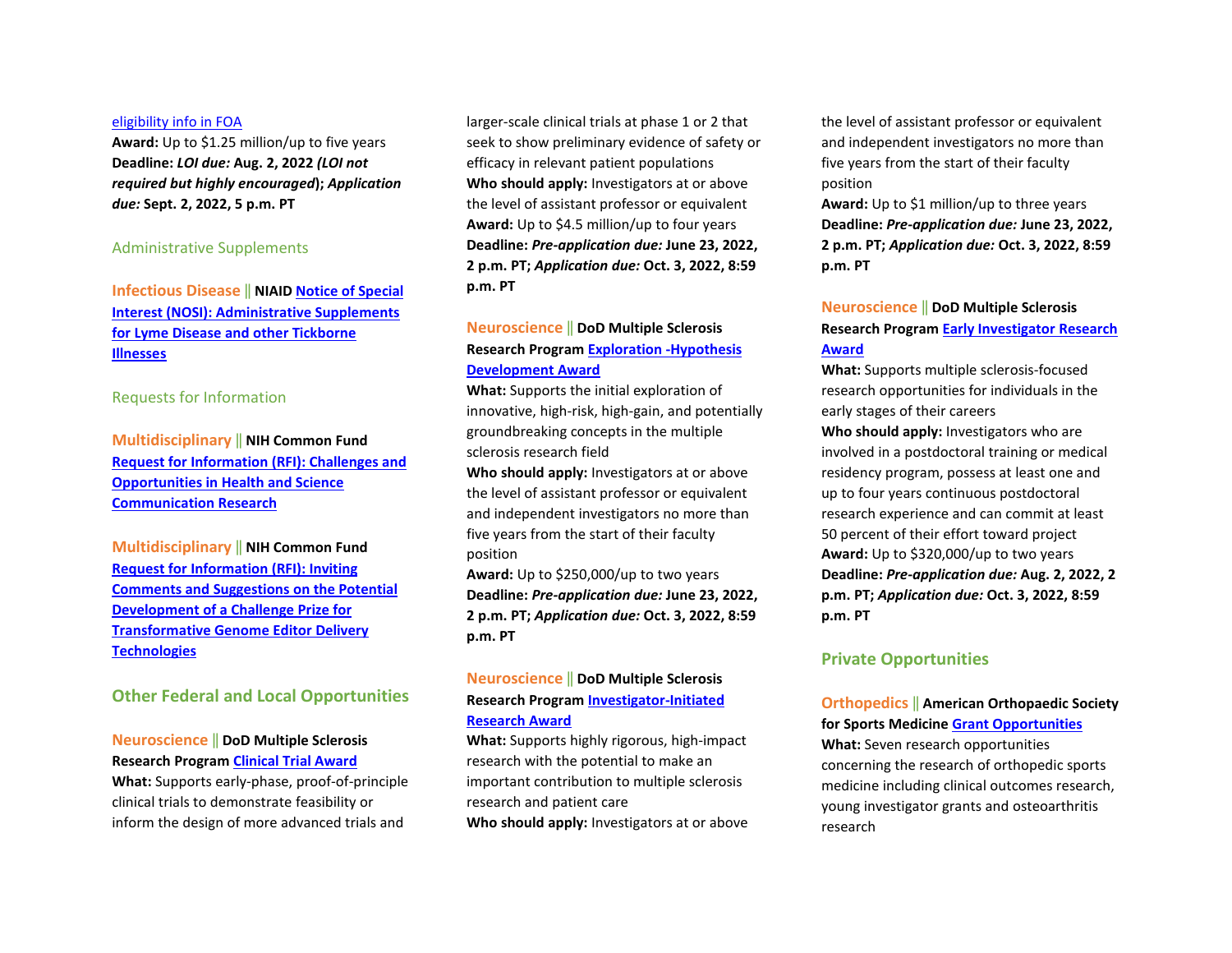#### [eligibility info in FOA](https://grants.nih.gov/grants/guide/rfa-files/RFA-RM-22-021.html#_Section_III._Eligibility)

**Award:** Up to \$1.25 million/up to five years **Deadline:** *LOI due:* **Aug. 2, 2022** *(LOI not required but highly encouraged***);** *Application due:* **Sept. 2, 2022, 5 p.m. PT**

#### Administrative Supplements

**Infectious Disease** ‖ **NIAID [Notice of Special](https://grants.nih.gov/grants/guide/notice-files/NOT-AI-22-048.html)  [Interest \(NOSI\): Administrative Supplements](https://grants.nih.gov/grants/guide/notice-files/NOT-AI-22-048.html)  [for Lyme Disease and other Tickborne](https://grants.nih.gov/grants/guide/notice-files/NOT-AI-22-048.html)  [Illnesses](https://grants.nih.gov/grants/guide/notice-files/NOT-AI-22-048.html)**

#### Requests for Information

**Multidisciplinary** ‖ **NIH Common Fund [Request for Information \(RFI\): Challenges and](https://grants.nih.gov/grants/guide/notice-files/NOT-RM-22-012.html)  [Opportunities in Health and Science](https://grants.nih.gov/grants/guide/notice-files/NOT-RM-22-012.html)  [Communication Research](https://grants.nih.gov/grants/guide/notice-files/NOT-RM-22-012.html)**

**Multidisciplinary** ‖ **NIH Common Fund [Request for Information \(RFI\): Inviting](https://grants.nih.gov/grants/guide/notice-files/NOT-RM-22-013.html)  [Comments and Suggestions on the Potential](https://grants.nih.gov/grants/guide/notice-files/NOT-RM-22-013.html)  [Development of a Challenge Prize for](https://grants.nih.gov/grants/guide/notice-files/NOT-RM-22-013.html)  [Transformative Genome Editor Delivery](https://grants.nih.gov/grants/guide/notice-files/NOT-RM-22-013.html)  [Technologies](https://grants.nih.gov/grants/guide/notice-files/NOT-RM-22-013.html)**

**Other Federal and Local Opportunities** 

#### **Neuroscience** ‖ **DoD Multiple Sclerosis Research Program [Clinical Trial Award](https://cdmrp.army.mil/funding/msrp)**

**What:** Supports early-phase, proof-of-principle clinical trials to demonstrate feasibility or inform the design of more advanced trials and

larger-scale clinical trials at phase 1 or 2 that seek to show preliminary evidence of safety or efficacy in relevant patient populations **Who should apply:** Investigators at or above the level of assistant professor or equivalent **Award:** Up to \$4.5 million/up to four years **Deadline:** *Pre-application due:* **June 23, 2022, 2 p.m. PT;** *Application due:* **Oct. 3, 2022, 8:59 p.m. PT** 

## **Neuroscience** ‖ **DoD Multiple Sclerosis Research Program [Exploration -Hypothesis](https://cdmrp.army.mil/funding/msrp)  [Development Award](https://cdmrp.army.mil/funding/msrp)**

**What:** Supports the initial exploration of innovative, high-risk, high-gain, and potentially groundbreaking concepts in the multiple sclerosis research field

**Who should apply:** Investigators at or above the level of assistant professor or equivalent and independent investigators no more than five years from the start of their faculty position

**Award:** Up to \$250,000/up to two years **Deadline:** *Pre-application due:* **June 23, 2022, 2 p.m. PT;** *Application due:* **Oct. 3, 2022, 8:59 p.m. PT** 

## **Neuroscience** ‖ **DoD Multiple Sclerosis Research Program [Investigator-Initiated](https://cdmrp.army.mil/funding/msrp)  [Research Award](https://cdmrp.army.mil/funding/msrp)**

**What:** Supports highly rigorous, high-impact research with the potential to make an important contribution to multiple sclerosis research and patient care

**Who should apply:** Investigators at or above

the level of assistant professor or equivalent and independent investigators no more than five years from the start of their faculty position

**Award:** Up to \$1 million/up to three years **Deadline:** *Pre-application due:* **June 23, 2022, 2 p.m. PT;** *Application due:* **Oct. 3, 2022, 8:59 p.m. PT** 

## **Neuroscience** ‖ **DoD Multiple Sclerosis Research Program [Early Investigator Research](https://cdmrp.army.mil/funding/msrp)  [Award](https://cdmrp.army.mil/funding/msrp)**

**What:** Supports multiple sclerosis-focused research opportunities for individuals in the early stages of their careers

**Who should apply:** Investigators who are involved in a postdoctoral training or medical residency program, possess at least one and up to four years continuous postdoctoral research experience and can commit at least 50 percent of their effort toward project **Award:** Up to \$320,000/up to two years **Deadline:** *Pre-application due:* **Aug. 2, 2022, 2 p.m. PT;** *Application due:* **Oct. 3, 2022, 8:59 p.m. PT** 

## **Private Opportunities**

#### **Orthopedics** ‖ **American Orthopaedic Society for Sports Medicine [Grant Opportunities](https://www.sportsmed.org/research/grants)**

**What:** Seven research opportunities concerning the research of orthopedic sports medicine including clinical outcomes research, young investigator grants and osteoarthritis research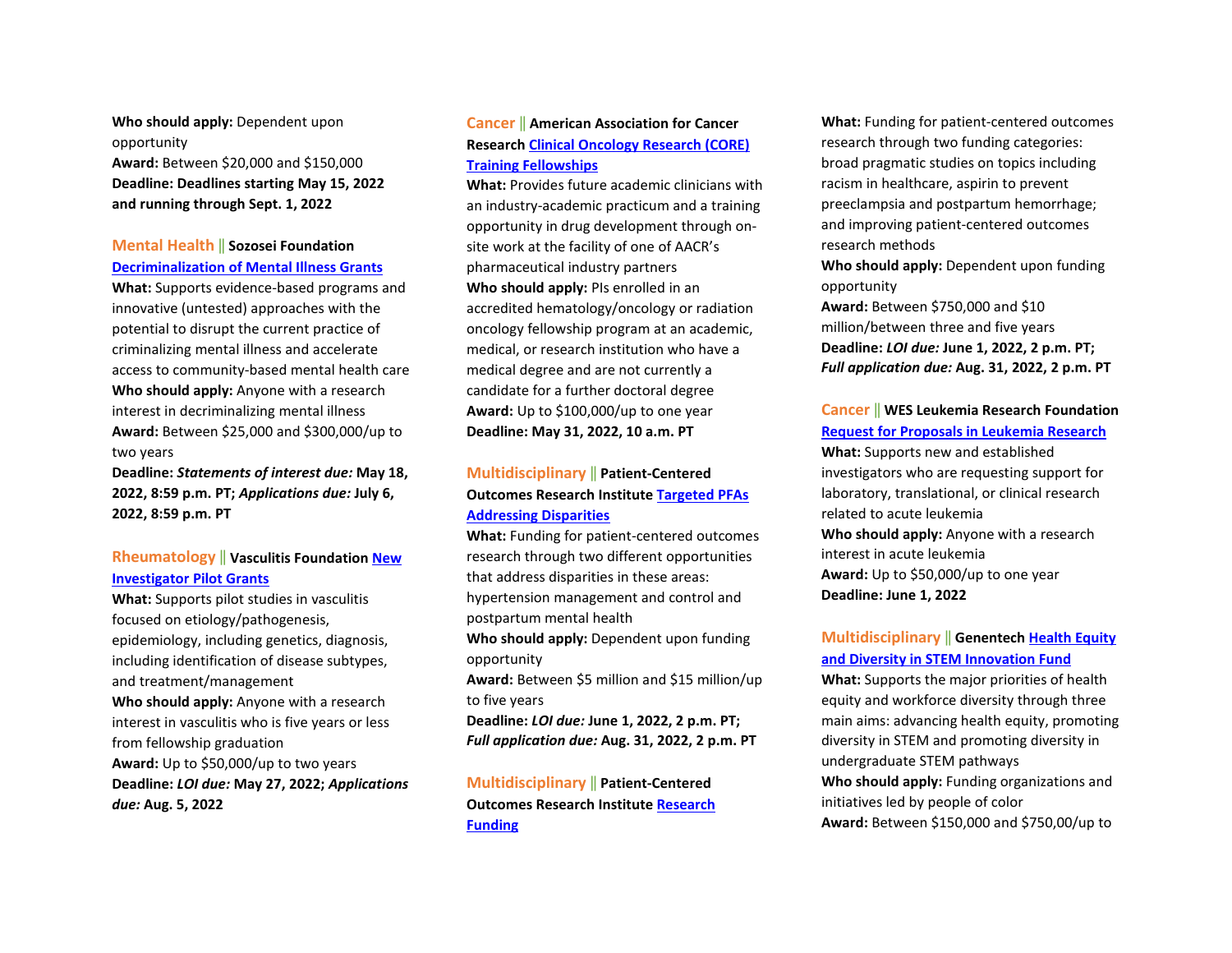**Who should apply:** Dependent upon opportunity **Award:** Between \$20,000 and \$150,000 **Deadline: Deadlines starting May 15, 2022 and running through Sept. 1, 2022** 

## **Mental Health** ‖ **Sozosei Foundation [Decriminalization of Mental Illness Grants](https://sozosei22q1r51.prod.oapi.com/media/66)**

**What:** Supports evidence-based programs and innovative (untested) approaches with the potential to disrupt the current practice of criminalizing mental illness and accelerate access to community-based mental health care **Who should apply:** Anyone with a research interest in decriminalizing mental illness **Award:** Between \$25,000 and \$300,000/up to two years

**Deadline:** *Statements of interest due:* **May 18, 2022, 8:59 p.m. PT;** *Applications due:* **July 6, 2022, 8:59 p.m. PT** 

## **Rheumatology** ‖ **Vasculitis Foundation [New](https://www.vasculitisfoundation.org/research/research-program/)  Investigator [Pilot Grants](https://www.vasculitisfoundation.org/research/research-program/)**

**What:** Supports pilot studies in vasculitis focused on etiology/pathogenesis, epidemiology, including genetics, diagnosis, including identification of disease subtypes, and treatment/management **Who should apply:** Anyone with a research interest in vasculitis who is five years or less from fellowship graduation **Award:** Up to \$50,000/up to two years **Deadline:** *LOI due:* **May 27, 2022;** *Applications due:* **Aug. 5, 2022**

#### **Cancer** ‖ **American Association for Cancer Research [Clinical Oncology Research \(CORE\)](https://www.aacr.org/grants/aacr-clinical-oncology-research-core-training-fellowships/)  [Training Fellowships](https://www.aacr.org/grants/aacr-clinical-oncology-research-core-training-fellowships/)**

**What:** Provides future academic clinicians with an industry-academic practicum and a training opportunity in drug development through onsite work at the facility of one of AACR's pharmaceutical industry partners **Who should apply:** PIs enrolled in an accredited hematology/oncology or radiation oncology fellowship program at an academic, medical, or research institution who have a medical degree and are not currently a candidate for a further doctoral degree **Award:** Up to \$100,000/up to one year **Deadline: May 31, 2022, 10 a.m. PT**

## **Multidisciplinary** ‖ **Patient-Centered Outcomes Research Institute [Targeted PFAs](https://www.pcori.org/blog/funding-opportunities-targeting-maternal-health-hypertension-management-and-more-open-may-3?utm_source=weeklyemail&utm_medium=email&utm_campaign=050322)  [Addressing Disparities](https://www.pcori.org/blog/funding-opportunities-targeting-maternal-health-hypertension-management-and-more-open-may-3?utm_source=weeklyemail&utm_medium=email&utm_campaign=050322)**

**What:** Funding for patient-centered outcomes research through two different opportunities that address disparities in these areas: hypertension management and control and postpartum mental health

**Who should apply:** Dependent upon funding opportunity

**Award:** Between \$5 million and \$15 million/up to five years

**Deadline:** *LOI due:* **June 1, 2022, 2 p.m. PT;**  *Full application due:* **Aug. 31, 2022, 2 p.m. PT** 

**Multidisciplinary** ‖ **Patient-Centered Outcomes Research Institute [Research](https://www.pcori.org/blog/funding-opportunities-targeting-maternal-health-hypertension-management-and-more-open-may-3?utm_source=weeklyemail&utm_medium=email&utm_campaign=050322)  [Funding](https://www.pcori.org/blog/funding-opportunities-targeting-maternal-health-hypertension-management-and-more-open-may-3?utm_source=weeklyemail&utm_medium=email&utm_campaign=050322)** 

**What:** Funding for patient-centered outcomes research through two funding categories: broad pragmatic studies on topics including racism in healthcare, aspirin to prevent preeclampsia and postpartum hemorrhage; and improving patient-centered outcomes research methods

**Who should apply:** Dependent upon funding opportunity

**Award:** Between \$750,000 and \$10 million/between three and five years **Deadline:** *LOI due:* **June 1, 2022, 2 p.m. PT;**  *Full application due:* **Aug. 31, 2022, 2 p.m. PT**

#### **Cancer** ‖ **WES Leukemia Research Foundation [Request for Proposals in Leukemia Research](https://www.wheneveryonesurvives.org/grant_application)**

**What:** Supports new and established investigators who are requesting support for laboratory, translational, or clinical research related to acute leukemia **Who should apply:** Anyone with a research interest in acute leukemia **Award:** Up to \$50,000/up to one year **Deadline: June 1, 2022**

## **Multidisciplinary** ‖ **Genentech [Health Equity](https://www.gene.com/good/giving/corporate-giving/rfp-genentech-2022-innovation-fund)  [and Diversity in STEM Innovation Fund](https://www.gene.com/good/giving/corporate-giving/rfp-genentech-2022-innovation-fund)**

**What:** Supports the major priorities of health equity and workforce diversity through three main aims: advancing health equity, promoting diversity in STEM and promoting diversity in undergraduate STEM pathways **Who should apply:** Funding organizations and initiatives led by people of color **Award:** Between \$150,000 and \$750,00/up to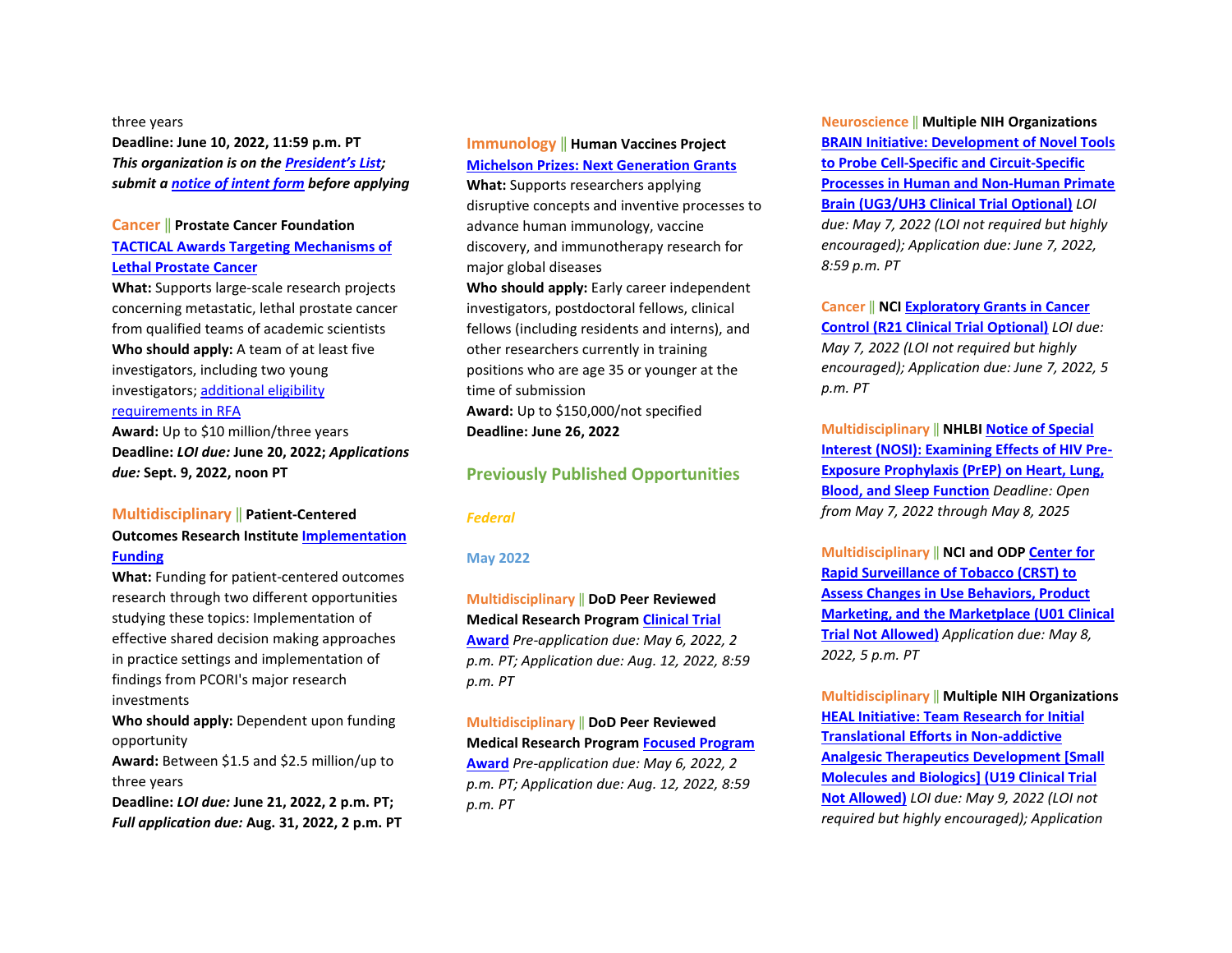#### three years

**Deadline: June 10, 2022, 11:59 p.m. PT**  *This organization is on th[e President's List;](https://o2.ohsu.edu/foundations/research-program-grants/ohsu-presidents-list/index.cfm)  submit a [notice of intent form](https://app.smartsheet.com/b/form?EQBCT=b4b914967b774308b1947bbf8ab27b15) before applying* 

#### **Cancer** ‖ **Prostate Cancer Foundation [TACTICAL Awards Targeting Mechanisms of](https://res.cloudinary.com/pcf/image/upload/v1651512650/2022_TACTICAL_Award_RFA_5.2.22_co3ajy.pdf)  [Lethal Prostate Cancer](https://res.cloudinary.com/pcf/image/upload/v1651512650/2022_TACTICAL_Award_RFA_5.2.22_co3ajy.pdf)**

**What:** Supports large-scale research projects concerning metastatic, lethal prostate cancer from qualified teams of academic scientists **Who should apply:** A team of at least five investigators, including two young investigators; [additional eligibility](https://res.cloudinary.com/pcf/image/upload/v1651512650/2022_TACTICAL_Award_RFA_5.2.22_co3ajy.pdf)  [requirements in RFA](https://res.cloudinary.com/pcf/image/upload/v1651512650/2022_TACTICAL_Award_RFA_5.2.22_co3ajy.pdf)  **Award:** Up to \$10 million/three years

**Deadline:** *LOI due:* **June 20, 2022;** *Applications due:* **Sept. 9, 2022, noon PT** 

## **Multidisciplinary** ‖ **Patient-Centered Outcomes Research Institute [Implementation](https://www.pcori.org/blog/funding-opportunities-targeting-maternal-health-hypertension-management-and-more-open-may-3?utm_source=weeklyemail&utm_medium=email&utm_campaign=050322)  [Funding](https://www.pcori.org/blog/funding-opportunities-targeting-maternal-health-hypertension-management-and-more-open-may-3?utm_source=weeklyemail&utm_medium=email&utm_campaign=050322)**

**What:** Funding for patient-centered outcomes research through two different opportunities studying these topics: Implementation of effective shared decision making approaches in practice settings and implementation of findings from PCORI's major research investments

**Who should apply:** Dependent upon funding opportunity

**Award:** Between \$1.5 and \$2.5 million/up to three years

**Deadline:** *LOI due:* **June 21, 2022, 2 p.m. PT;**  *Full application due:* **Aug. 31, 2022, 2 p.m. PT**

## **Immunology** ‖ **Human Vaccines Project [Michelson Prizes: Next Generation Grants](https://www.humanvaccinesproject.org/michelson-prizes/)**

**What:** Supports researchers applying disruptive concepts and inventive processes to advance human immunology, vaccine discovery, and immunotherapy research for major global diseases

**Who should apply:** Early career independent investigators, postdoctoral fellows, clinical fellows (including residents and interns), and other researchers currently in training positions who are age 35 or younger at the time of submission **Award:** Up to \$150,000/not specified **Deadline: June 26, 2022** 

## **Previously Published Opportunities**

#### *Federal*

#### **May 2022**

**Multidisciplinary** ‖ **DoD Peer Reviewed Medical Research Progra[m Clinical Trial](https://cdmrp.army.mil/funding/prmrp)  [Award](https://cdmrp.army.mil/funding/prmrp)** *Pre-application due: May 6, 2022, 2 p.m. PT; Application due: Aug. 12, 2022, 8:59 p.m. PT* 

**Multidisciplinary** ‖ **DoD Peer Reviewed Medical Research Progra[m Focused Program](https://cdmrp.army.mil/funding/prmrp)  [Award](https://cdmrp.army.mil/funding/prmrp)** *Pre-application due: May 6, 2022, 2 p.m. PT; Application due: Aug. 12, 2022, 8:59 p.m. PT*

**Neuroscience** ‖ **Multiple NIH Organizations [BRAIN Initiative: Development of Novel Tools](https://grants.nih.gov/grants/guide/rfa-files/RFA-MH-22-115.html)  [to Probe Cell-Specific and Circuit-Specific](https://grants.nih.gov/grants/guide/rfa-files/RFA-MH-22-115.html)  [Processes in Human and Non-Human Primate](https://grants.nih.gov/grants/guide/rfa-files/RFA-MH-22-115.html)  [Brain \(UG3/UH3 Clinical Trial Optional\)](https://grants.nih.gov/grants/guide/rfa-files/RFA-MH-22-115.html)** *LOI due: May 7, 2022 (LOI not required but highly encouraged); Application due: June 7, 2022, 8:59 p.m. PT*

**Cancer** ‖ **NC[I Exploratory Grants in Cancer](https://grants.nih.gov/grants/guide/pa-files/PAR-21-341.html)  [Control \(R21 Clinical Trial Optional\)](https://grants.nih.gov/grants/guide/pa-files/PAR-21-341.html)** *LOI due: May 7, 2022 (LOI not required but highly encouraged); Application due: June 7, 2022, 5 p.m. PT*

**Multidisciplinary** ‖ **NHLBI [Notice of Special](https://grants.nih.gov/grants/guide/notice-files/NOT-HL-21-025.html)  [Interest \(NOSI\): Examining Effects of HIV Pre-](https://grants.nih.gov/grants/guide/notice-files/NOT-HL-21-025.html)[Exposure Prophylaxis \(PrEP\) on Heart, Lung,](https://grants.nih.gov/grants/guide/notice-files/NOT-HL-21-025.html)  [Blood, and Sleep Function](https://grants.nih.gov/grants/guide/notice-files/NOT-HL-21-025.html)** *Deadline: Open from May 7, 2022 through May 8, 2025*

**Multidisciplinary** ‖ **NCI and OD[P Center for](https://grants.nih.gov/grants/guide/rfa-files/RFA-OD-22-002.html)  [Rapid Surveillance of Tobacco \(CRST\) to](https://grants.nih.gov/grants/guide/rfa-files/RFA-OD-22-002.html)  [Assess Changes in Use Behaviors, Product](https://grants.nih.gov/grants/guide/rfa-files/RFA-OD-22-002.html)  Marketing, [and the Marketplace \(U01 Clinical](https://grants.nih.gov/grants/guide/rfa-files/RFA-OD-22-002.html)  [Trial Not Allowed\)](https://grants.nih.gov/grants/guide/rfa-files/RFA-OD-22-002.html)** *Application due: May 8, 2022, 5 p.m. PT* 

**Multidisciplinary** ‖ **Multiple NIH Organizations [HEAL Initiative: Team Research for Initial](https://grants.nih.gov/grants/guide/rfa-files/RFA-NS-22-052.html)  [Translational Efforts in Non-addictive](https://grants.nih.gov/grants/guide/rfa-files/RFA-NS-22-052.html)  [Analgesic Therapeutics Development \[Small](https://grants.nih.gov/grants/guide/rfa-files/RFA-NS-22-052.html)  [Molecules and Biologics\] \(U19 Clinical Trial](https://grants.nih.gov/grants/guide/rfa-files/RFA-NS-22-052.html)  [Not Allowed\)](https://grants.nih.gov/grants/guide/rfa-files/RFA-NS-22-052.html)** *LOI due: May 9, 2022 (LOI not required but highly encouraged); Application*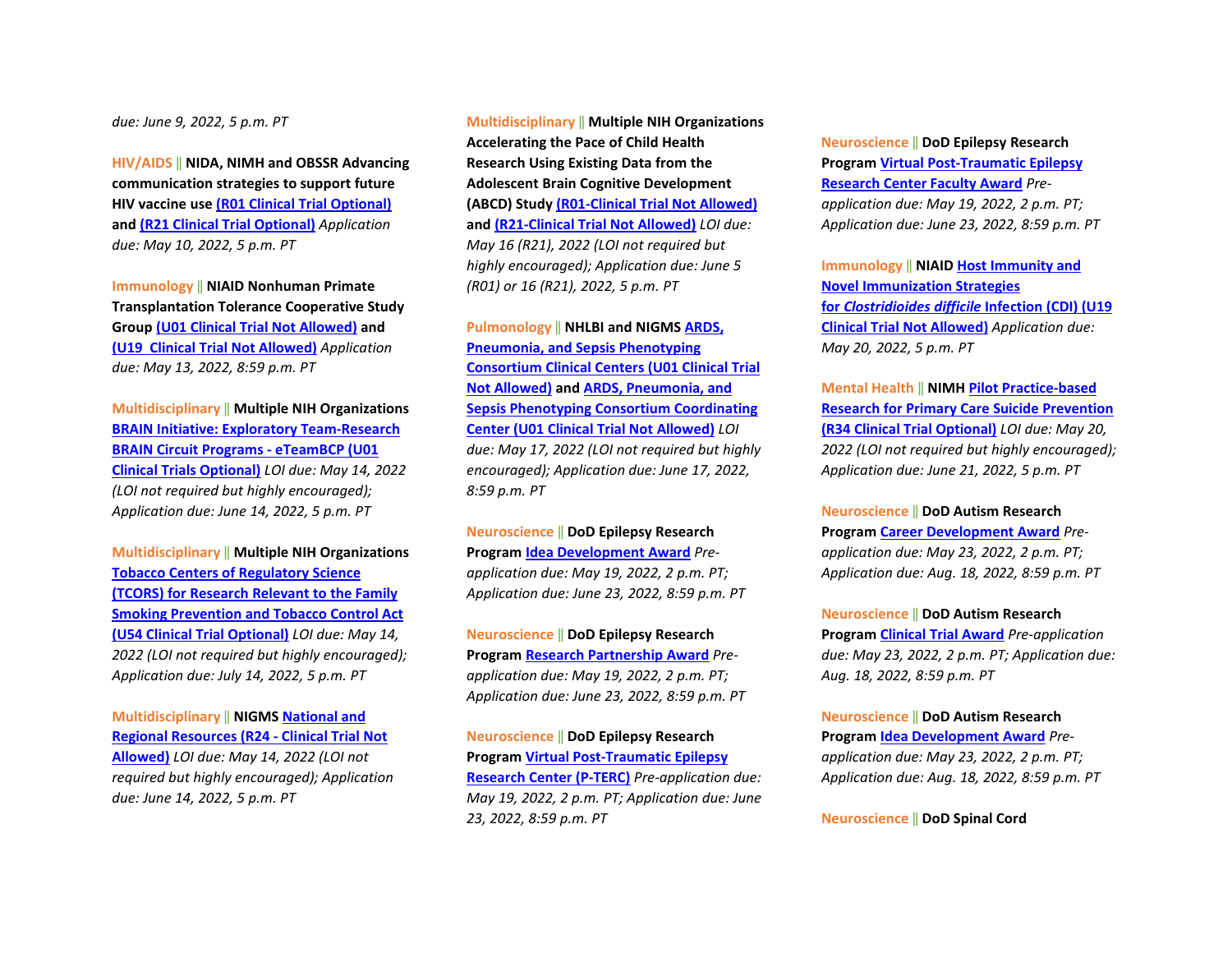*due: June 9, 2022, 5 p.m. PT*

**HIV/AIDS** ‖ **NIDA, NIMH and OBSSR Advancing communication strategies to support future HIV vaccine use [\(R01 Clinical Trial Optional\)](https://grants.nih.gov/grants/guide/rfa-files/RFA-MH-22-170.html) and [\(R21 Clinical Trial Optional\)](https://grants.nih.gov/grants/guide/rfa-files/RFA-MH-22-171.html)** *Application due: May 10, 2022, 5 p.m. PT* 

**Immunology** ‖ **NIAID Nonhuman Primate Transplantation Tolerance Cooperative Study Grou[p \(U01 Clinical Trial Not Allowed\)](https://grants.nih.gov/grants/guide/rfa-files/RFA-AI-22-002.html) and [\(U19 Clinical Trial Not Allowed\)](https://grants.nih.gov/grants/guide/rfa-files/RFA-AI-22-003.html)** *Application due: May 13, 2022, 8:59 p.m. PT* 

**Multidisciplinary** ‖ **Multiple NIH Organizations [BRAIN Initiative: Exploratory Team-Research](https://grants.nih.gov/grants/guide/rfa-files/RFA-NS-22-028.html)  [BRAIN Circuit Programs - eTeamBCP \(U01](https://grants.nih.gov/grants/guide/rfa-files/RFA-NS-22-028.html)  [Clinical Trials Optional\)](https://grants.nih.gov/grants/guide/rfa-files/RFA-NS-22-028.html)** *LOI due: May 14, 2022 (LOI not required but highly encouraged); Application due: June 14, 2022, 5 p.m. PT* 

**Multidisciplinary** ‖ **Multiple NIH Organizations [Tobacco Centers of Regulatory Science](https://grants.nih.gov/grants/guide/rfa-files/RFA-OD-22-004.html)  [\(TCORS\) for Research Relevant to the Family](https://grants.nih.gov/grants/guide/rfa-files/RFA-OD-22-004.html)  [Smoking Prevention and Tobacco Control Act](https://grants.nih.gov/grants/guide/rfa-files/RFA-OD-22-004.html)  [\(U54 Clinical Trial Optional\)](https://grants.nih.gov/grants/guide/rfa-files/RFA-OD-22-004.html)** *LOI due: May 14, 2022 (LOI not required but highly encouraged); Application due: July 14, 2022, 5 p.m. PT*

**Multidisciplinary** ‖ **NIGM[S National and](https://grants.nih.gov/grants/guide/pa-files/PAR-22-065.html)  [Regional Resources \(R24 - Clinical Trial Not](https://grants.nih.gov/grants/guide/pa-files/PAR-22-065.html)  [Allowed\)](https://grants.nih.gov/grants/guide/pa-files/PAR-22-065.html)** *LOI due: May 14, 2022 (LOI not required but highly encouraged); Application due: June 14, 2022, 5 p.m. PT*

**Multidisciplinary** ‖ **Multiple NIH Organizations Accelerating the Pace of Child Health Research Using Existing Data from the Adolescent Brain Cognitive Development (ABCD) Stud[y \(R01-Clinical Trial Not Allowed\)](https://grants.nih.gov/grants/guide/pa-files/PAR-22-137.html) and [\(R21-Clinical Trial Not Allowed\)](https://grants.nih.gov/grants/guide/pa-files/PAR-22-138.html)** *LOI due: May 16 (R21), 2022 (LOI not required but highly encouraged); Application due: June 5 (R01) or 16 (R21), 2022, 5 p.m. PT*

**Pulmonology** ‖ **NHLBI and NIGMS [ARDS,](https://grants.nih.gov/grants/guide/rfa-files/RFA-HL-23-001.html)  [Pneumonia, and Sepsis Phenotyping](https://grants.nih.gov/grants/guide/rfa-files/RFA-HL-23-001.html)  [Consortium Clinical Centers \(U01 Clinical Trial](https://grants.nih.gov/grants/guide/rfa-files/RFA-HL-23-001.html)  [Not Allowed\)](https://grants.nih.gov/grants/guide/rfa-files/RFA-HL-23-001.html) and [ARDS, Pneumonia, and](https://grants.nih.gov/grants/guide/rfa-files/RFA-HL-23-002.html)  [Sepsis Phenotyping Consortium Coordinating](https://grants.nih.gov/grants/guide/rfa-files/RFA-HL-23-002.html)  [Center \(U01 Clinical Trial Not Allowed\)](https://grants.nih.gov/grants/guide/rfa-files/RFA-HL-23-002.html)** *LOI due: May 17, 2022 (LOI not required but highly encouraged); Application due: June 17, 2022, 8:59 p.m. PT*

**Neuroscience** ‖ **DoD Epilepsy Research Program [Idea Development Award](https://cdmrp.army.mil/funding/erp)** *Preapplication due: May 19, 2022, 2 p.m. PT; Application due: June 23, 2022, 8:59 p.m. PT* 

**Neuroscience** ‖ **DoD Epilepsy Research Program [Research Partnership Award](https://cdmrp.army.mil/funding/erp)** *Preapplication due: May 19, 2022, 2 p.m. PT; Application due: June 23, 2022, 8:59 p.m. PT* 

**Neuroscience** ‖ **DoD Epilepsy Research Program [Virtual Post-Traumatic Epilepsy](https://cdmrp.army.mil/funding/erp)  [Research Center \(P-TERC\)](https://cdmrp.army.mil/funding/erp)** *Pre-application due: May 19, 2022, 2 p.m. PT; Application due: June 23, 2022, 8:59 p.m. PT* 

**Neuroscience** ‖ **DoD Epilepsy Research Program [Virtual Post-Traumatic Epilepsy](https://cdmrp.army.mil/funding/erp)  [Research Center Faculty Award](https://cdmrp.army.mil/funding/erp)** *Preapplication due: May 19, 2022, 2 p.m. PT; Application due: June 23, 2022, 8:59 p.m. PT*

**Immunology** ‖ **NIAI[D Host Immunity](https://grants.nih.gov/grants/guide/rfa-files/RFA-AI-22-001.html) and [Novel Immunization Strategies](https://grants.nih.gov/grants/guide/rfa-files/RFA-AI-22-001.html)  for** *[Clostridioides difficile](https://grants.nih.gov/grants/guide/rfa-files/RFA-AI-22-001.html)* **Infection (CDI) (U19 [Clinical Trial Not Allowed\)](https://grants.nih.gov/grants/guide/rfa-files/RFA-AI-22-001.html)** *Application due: May 20, 2022, 5 p.m. PT*

**Mental Health** ‖ **NIMH [Pilot Practice-based](https://grants.nih.gov/grants/guide/rfa-files/RFA-MH-22-120.html)  [Research for Primary Care Suicide Prevention](https://grants.nih.gov/grants/guide/rfa-files/RFA-MH-22-120.html)  [\(R34 Clinical Trial Optional\)](https://grants.nih.gov/grants/guide/rfa-files/RFA-MH-22-120.html)** *LOI due: May 20, 2022 (LOI not required but highly encouraged); Application due: June 21, 2022, 5 p.m. PT*

**Neuroscience** ‖ **DoD Autism Research Program [Career Development Award](https://cdmrp.army.mil/funding/arp)** *Preapplication due: May 23, 2022, 2 p.m. PT; Application due: Aug. 18, 2022, 8:59 p.m. PT* 

**Neuroscience** ‖ **DoD Autism Research Program [Clinical Trial Award](https://cdmrp.army.mil/funding/arp)** *Pre-application due: May 23, 2022, 2 p.m. PT; Application due: Aug. 18, 2022, 8:59 p.m. PT* 

**Neuroscience** ‖ **DoD Autism Research Program [Idea Development Award](https://cdmrp.army.mil/funding/arp)** *Preapplication due: May 23, 2022, 2 p.m. PT; Application due: Aug. 18, 2022, 8:59 p.m. PT* 

**Neuroscience** ‖ **DoD Spinal Cord**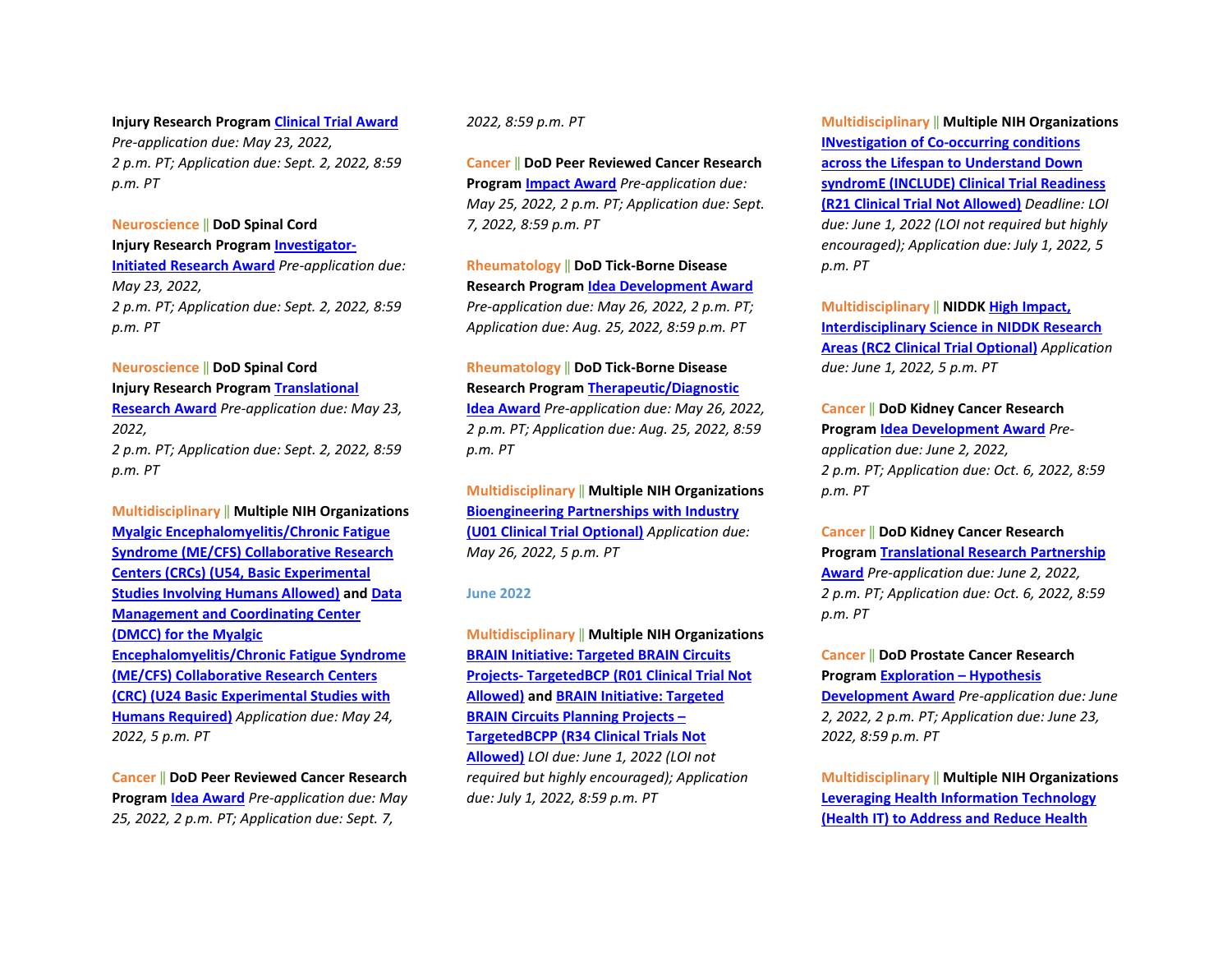**Injury Research Progra[m Clinical Trial Award](https://cdmrp.army.mil/funding/scirp)** *Pre-application due: May 23, 2022, 2 p.m. PT; Application due: Sept. 2, 2022, 8:59 p.m. PT* 

#### **Neuroscience** ‖ **DoD Spinal Cord**

**Injury Research Progra[m Investigator-](https://cdmrp.army.mil/funding/scirp)[Initiated Research Award](https://cdmrp.army.mil/funding/scirp)** *Pre-application due: May 23, 2022, 2 p.m. PT; Application due: Sept. 2, 2022, 8:59 p.m. PT* 

#### **Neuroscience** ‖ **DoD Spinal Cord**

**Injury Research Progra[m Translational](https://cdmrp.army.mil/funding/scirp)  [Research Award](https://cdmrp.army.mil/funding/scirp)** *Pre-application due: May 23, 2022, 2 p.m. PT; Application due: Sept. 2, 2022, 8:59 p.m. PT*

## **Multidisciplinary** ‖ **Multiple NIH Organizations [Myalgic Encephalomyelitis/Chronic Fatigue](https://grants.nih.gov/grants/guide/rfa-files/RFA-NS-22-019.html)  [Syndrome \(ME/CFS\) Collaborative Research](https://grants.nih.gov/grants/guide/rfa-files/RFA-NS-22-019.html)  [Centers \(CRCs\) \(U54, Basic Experimental](https://grants.nih.gov/grants/guide/rfa-files/RFA-NS-22-019.html)  [Studies Involving Humans Allowed\)](https://grants.nih.gov/grants/guide/rfa-files/RFA-NS-22-019.html) an[d Data](https://grants.nih.gov/grants/guide/rfa-files/RFA-NS-22-020.html)  [Management and Coordinating Center](https://grants.nih.gov/grants/guide/rfa-files/RFA-NS-22-020.html)  [\(DMCC\) for the Myalgic](https://grants.nih.gov/grants/guide/rfa-files/RFA-NS-22-020.html)  [Encephalomyelitis/Chronic Fatigue Syndrome](https://grants.nih.gov/grants/guide/rfa-files/RFA-NS-22-020.html)  [\(ME/CFS\) Collaborative Research Centers](https://grants.nih.gov/grants/guide/rfa-files/RFA-NS-22-020.html)  [\(CRC\) \(U24 Basic Experimental Studies with](https://grants.nih.gov/grants/guide/rfa-files/RFA-NS-22-020.html)  [Humans Required\)](https://grants.nih.gov/grants/guide/rfa-files/RFA-NS-22-020.html)** *Application due: May 24, 2022, 5 p.m. PT*

**Cancer** ‖ **DoD Peer Reviewed Cancer Research Program [Idea Award](https://cdmrp.army.mil/funding/prcrp)** *Pre-application due: May 25, 2022, 2 p.m. PT; Application due: Sept. 7,* 

#### *2022, 8:59 p.m. PT*

**Cancer** ‖ **DoD Peer Reviewed Cancer Research Program [Impact Award](https://cdmrp.army.mil/funding/prcrp)** *Pre-application due: May 25, 2022, 2 p.m. PT; Application due: Sept. 7, 2022, 8:59 p.m. PT*

#### **Rheumatology** ‖ **DoD Tick-Borne Disease Research Program [Idea Development Award](https://cdmrp.army.mil/pubs/press/2022/22tbdrppreann)**

*Pre-application due: May 26, 2022, 2 p.m. PT; Application due: Aug. 25, 2022, 8:59 p.m. PT* 

#### **Rheumatology** ‖ **DoD Tick-Borne Disease Research Program [Therapeutic/Diagnostic](https://cdmrp.army.mil/pubs/press/2022/22tbdrppreann)**

**[Idea Award](https://cdmrp.army.mil/pubs/press/2022/22tbdrppreann)** *Pre-application due: May 26, 2022, 2 p.m. PT; Application due: Aug. 25, 2022, 8:59 p.m. PT*

## **Multidisciplinary** ‖ **Multiple NIH Organizations [Bioengineering Partnerships with Industry](https://grants.nih.gov/grants/guide/pa-files/PAR-22-123.html)  [\(U01 Clinical Trial Optional\)](https://grants.nih.gov/grants/guide/pa-files/PAR-22-123.html)** *Application due: May 26, 2022, 5 p.m. PT*

#### **June 2022**

**Multidisciplinary** ‖ **Multiple NIH Organizations [BRAIN Initiative: Targeted BRAIN Circuits](https://grants.nih.gov/grants/guide/rfa-files/RFA-NS-22-026.html)  [Projects- TargetedBCP \(R01 Clinical Trial Not](https://grants.nih.gov/grants/guide/rfa-files/RFA-NS-22-026.html)  [Allowed\)](https://grants.nih.gov/grants/guide/rfa-files/RFA-NS-22-026.html) an[d BRAIN Initiative: Targeted](https://grants.nih.gov/grants/guide/rfa-files/RFA-NS-22-027.html#_Part_1._Overview)  [BRAIN Circuits Planning Projects –](https://grants.nih.gov/grants/guide/rfa-files/RFA-NS-22-027.html#_Part_1._Overview)  [TargetedBCPP \(R34 Clinical Trials Not](https://grants.nih.gov/grants/guide/rfa-files/RFA-NS-22-027.html#_Part_1._Overview)  [Allowed\)](https://grants.nih.gov/grants/guide/rfa-files/RFA-NS-22-027.html#_Part_1._Overview)** *LOI due: June 1, 2022 (LOI not required but highly encouraged); Application due: July 1, 2022, 8:59 p.m. PT*

**Multidisciplinary** ‖ **Multiple NIH Organizations [INvestigation of Co-occurring conditions](https://grants.nih.gov/grants/guide/rfa-files/RFA-OD-22-007.html)  [across the Lifespan to Understand Down](https://grants.nih.gov/grants/guide/rfa-files/RFA-OD-22-007.html)  [syndromE \(INCLUDE\) Clinical Trial Readiness](https://grants.nih.gov/grants/guide/rfa-files/RFA-OD-22-007.html)  [\(R21 Clinical Trial Not](https://grants.nih.gov/grants/guide/rfa-files/RFA-OD-22-007.html) Allowed)** *Deadline: LOI due: June 1, 2022 (LOI not required but highly encouraged); Application due: July 1, 2022, 5 p.m. PT*

**Multidisciplinary** ‖ **NIDDK [High Impact,](https://grants.nih.gov/grants/guide/pa-files/PAR-22-069.html)  [Interdisciplinary Science in NIDDK Research](https://grants.nih.gov/grants/guide/pa-files/PAR-22-069.html)  [Areas \(RC2 Clinical Trial Optional\)](https://grants.nih.gov/grants/guide/pa-files/PAR-22-069.html)** *Application due: June 1, 2022, 5 p.m. PT* 

## **Cancer** ‖ **DoD Kidney Cancer Research Program [Idea Development Award](https://cdmrp.army.mil/pubs/press/2022/22kcrppreann)** *Preapplication due: June 2, 2022, 2 p.m. PT; Application due: Oct. 6, 2022, 8:59 p.m. PT*

#### **Cancer** ‖ **DoD Kidney Cancer Research**

**Program [Translational Research Partnership](https://cdmrp.army.mil/pubs/press/2022/22kcrppreann)  [Award](https://cdmrp.army.mil/pubs/press/2022/22kcrppreann)** *Pre-application due: June 2, 2022, 2 p.m. PT; Application due: Oct. 6, 2022, 8:59 p.m. PT* 

#### **Cancer** ‖ **DoD Prostate Cancer Research Program [Exploration – Hypothesis](https://cdmrp.army.mil/pubs/press/2022/22pcrppreann)**

**[Development Award](https://cdmrp.army.mil/pubs/press/2022/22pcrppreann)** *Pre-application due: June 2, 2022, 2 p.m. PT; Application due: June 23, 2022, 8:59 p.m. PT*

**Multidisciplinary** ‖ **Multiple NIH Organizations [Leveraging Health Information Technology](https://grants.nih.gov/grants/guide/pa-files/PAR-22-145.html)  [\(Health IT\) to Address and Reduce Health](https://grants.nih.gov/grants/guide/pa-files/PAR-22-145.html)**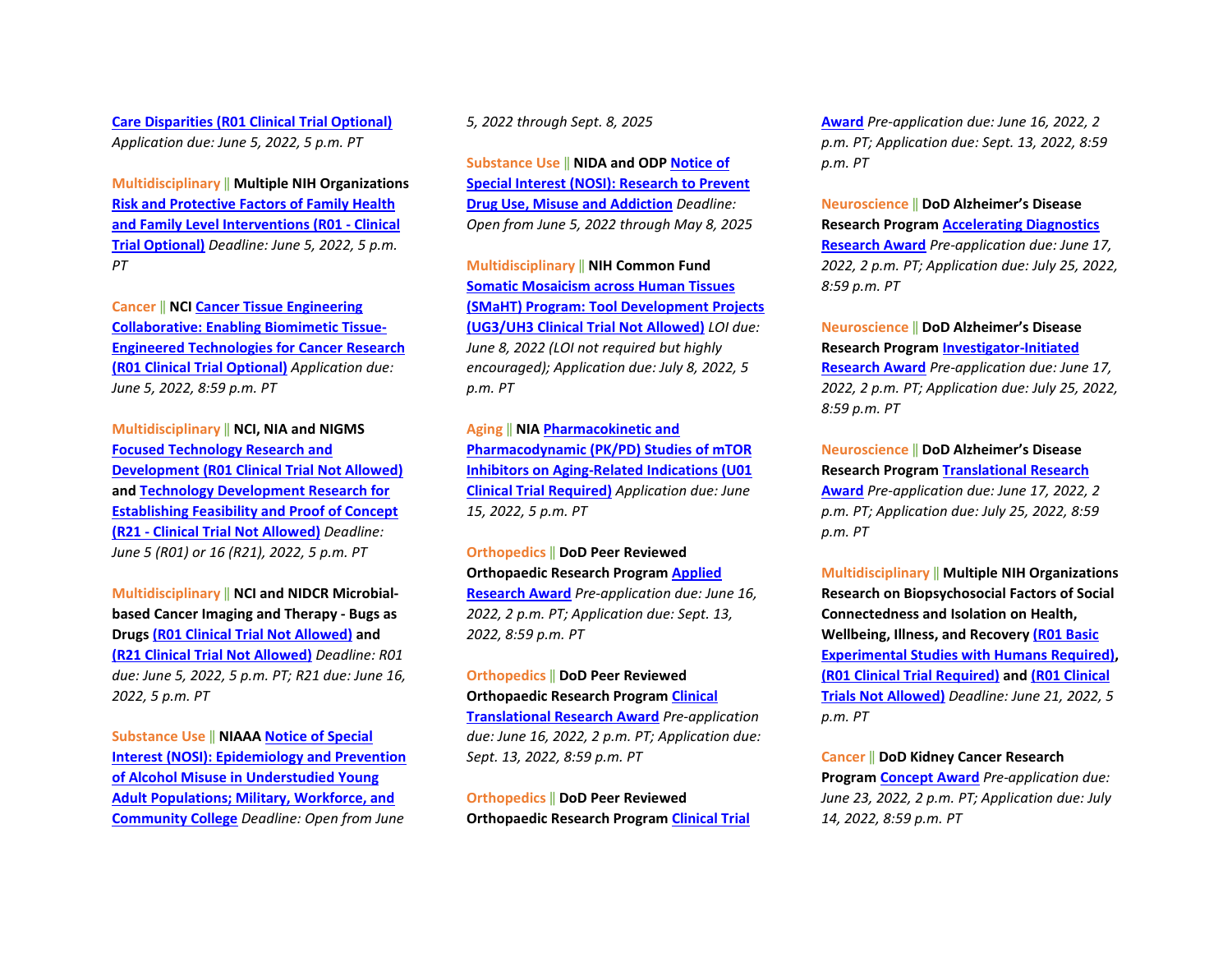**[Care Disparities \(R01 Clinical Trial Optional\)](https://grants.nih.gov/grants/guide/pa-files/PAR-22-145.html)** *Application due: June 5, 2022, 5 p.m. PT*

**Multidisciplinary** ‖ **Multiple NIH Organizations [Risk and Protective Factors of Family Health](https://grants.nih.gov/grants/guide/pa-files/PAR-21-358.html)  [and Family Level Interventions \(R01 - Clinical](https://grants.nih.gov/grants/guide/pa-files/PAR-21-358.html)  [Trial Optional\)](https://grants.nih.gov/grants/guide/pa-files/PAR-21-358.html)** *Deadline: June 5, 2022, 5 p.m. PT*

**Cancer** ‖ **NC[I Cancer Tissue Engineering](https://grants.nih.gov/grants/guide/pa-files/PAR-22-099.html)  [Collaborative: Enabling Biomimetic Tissue-](https://grants.nih.gov/grants/guide/pa-files/PAR-22-099.html)[Engineered Technologies for Cancer Research](https://grants.nih.gov/grants/guide/pa-files/PAR-22-099.html)  [\(R01 Clinical Trial Optional\)](https://grants.nih.gov/grants/guide/pa-files/PAR-22-099.html)** *Application due: June 5, 2022, 8:59 p.m. PT*

**Multidisciplinary** ‖ **NCI, NIA and NIGMS [Focused Technology Research and](https://grants.nih.gov/grants/guide/pa-files/PAR-22-127.html)  [Development \(R01 Clinical Trial Not Allowed\)](https://grants.nih.gov/grants/guide/pa-files/PAR-22-127.html) and [Technology Development Research for](https://grants.nih.gov/grants/guide/pa-files/PAR-22-126.html)  [Establishing Feasibility and Proof of Concept](https://grants.nih.gov/grants/guide/pa-files/PAR-22-126.html)  [\(R21 - Clinical Trial Not Allowed\)](https://grants.nih.gov/grants/guide/pa-files/PAR-22-126.html)** *Deadline: June 5 (R01) or 16 (R21), 2022, 5 p.m. PT*

**Multidisciplinary** ‖ **NCI and NIDCR Microbialbased Cancer Imaging and Therapy - Bugs as Drugs [\(R01 Clinical Trial Not Allowed\)](https://grants.nih.gov/grants/guide/pa-files/PAR-22-085.html) and [\(R21 Clinical Trial Not Allowed\)](https://grants.nih.gov/grants/guide/pa-files/PAR-22-086.html)** *Deadline: R01 due: June 5, 2022, 5 p.m. PT; R21 due: June 16, 2022, 5 p.m. PT*

**Substance Use** ‖ **NIAA[A Notice of Special](https://grants.nih.gov/grants/guide/notice-files/NOT-AA-22-001.html)  [Interest \(NOSI\): Epidemiology and Prevention](https://grants.nih.gov/grants/guide/notice-files/NOT-AA-22-001.html)  [of Alcohol Misuse in Understudied Young](https://grants.nih.gov/grants/guide/notice-files/NOT-AA-22-001.html)  [Adult Populations; Military, Workforce, and](https://grants.nih.gov/grants/guide/notice-files/NOT-AA-22-001.html)  [Community College](https://grants.nih.gov/grants/guide/notice-files/NOT-AA-22-001.html)** *Deadline: Open from June* 

*5, 2022 through Sept. 8, 2025*

**Substance Use** ‖ **NIDA and ODP [Notice of](https://grants.nih.gov/grants/guide/notice-files/NOT-DA-23-001.html)  [Special Interest \(NOSI\): Research to Prevent](https://grants.nih.gov/grants/guide/notice-files/NOT-DA-23-001.html)  [Drug Use, Misuse and Addiction](https://grants.nih.gov/grants/guide/notice-files/NOT-DA-23-001.html)** *Deadline: Open from June 5, 2022 through May 8, 2025*

**Multidisciplinary** ‖ **NIH Common Fund [Somatic Mosaicism across Human Tissues](https://grants.nih.gov/grants/guide/rfa-files/RFA-RM-22-011.html)  [\(SMaHT\) Program: Tool Development Projects](https://grants.nih.gov/grants/guide/rfa-files/RFA-RM-22-011.html)  [\(UG3/UH3 Clinical Trial Not Allowed\)](https://grants.nih.gov/grants/guide/rfa-files/RFA-RM-22-011.html)** *LOI due: June 8, 2022 (LOI not required but highly encouraged); Application due: July 8, 2022, 5 p.m. PT*

**Aging** ‖ **NI[A Pharmacokinetic and](https://grants.nih.gov/grants/guide/rfa-files/RFA-AG-23-008.html)  [Pharmacodynamic \(PK/PD\) Studies of mTOR](https://grants.nih.gov/grants/guide/rfa-files/RFA-AG-23-008.html)  [Inhibitors on Aging-Related Indications \(U01](https://grants.nih.gov/grants/guide/rfa-files/RFA-AG-23-008.html)  [Clinical Trial Required\)](https://grants.nih.gov/grants/guide/rfa-files/RFA-AG-23-008.html)** *Application due: June 15, 2022, 5 p.m. PT* 

**Orthopedics** ‖ **DoD Peer Reviewed Orthopaedic Research Program [Applied](https://cdmrp.army.mil/prorp/default)  [Research Award](https://cdmrp.army.mil/prorp/default)** *Pre-application due: June 16, 2022, 2 p.m. PT; Application due: Sept. 13, 2022, 8:59 p.m. PT* 

**Orthopedics** ‖ **DoD Peer Reviewed Orthopaedic Research Program [Clinical](https://cdmrp.army.mil/prorp/default)  [Translational Research Award](https://cdmrp.army.mil/prorp/default)** *Pre-application due: June 16, 2022, 2 p.m. PT; Application due: Sept. 13, 2022, 8:59 p.m. PT* 

**Orthopedics** ‖ **DoD Peer Reviewed Orthopaedic Research Program [Clinical Trial](https://cdmrp.army.mil/prorp/default)**  **[Award](https://cdmrp.army.mil/prorp/default)** *Pre-application due: June 16, 2022, 2 p.m. PT; Application due: Sept. 13, 2022, 8:59 p.m. PT*

**Neuroscience** ‖ **DoD Alzheimer's Disease Research Program [Accelerating Diagnostics](https://cdmrp.army.mil/funding/prarp)  [Research Award](https://cdmrp.army.mil/funding/prarp)** *Pre-application due: June 17, 2022, 2 p.m. PT; Application due: July 25, 2022, 8:59 p.m. PT* 

**Neuroscience** ‖ **DoD Alzheimer's Disease Research Program [Investigator-Initiated](https://cdmrp.army.mil/funding/prarp)  [Research Award](https://cdmrp.army.mil/funding/prarp)** *Pre-application due: June 17, 2022, 2 p.m. PT; Application due: July 25, 2022, 8:59 p.m. PT* 

**Neuroscience** ‖ **DoD Alzheimer's Disease Research Program [Translational Research](https://cdmrp.army.mil/funding/prarp)  [Award](https://cdmrp.army.mil/funding/prarp)** *Pre-application due: June 17, 2022, 2 p.m. PT; Application due: July 25, 2022, 8:59 p.m. PT*

**Multidisciplinary** ‖ **Multiple NIH Organizations Research on Biopsychosocial Factors of Social Connectedness and Isolation on Health, Wellbeing, Illness, and Recovery [\(R01 Basic](https://grants.nih.gov/grants/guide/pa-files/PAR-21-349.html)  [Experimental Studies with Humans Required\),](https://grants.nih.gov/grants/guide/pa-files/PAR-21-349.html) [\(R01 Clinical Trial Required\)](https://grants.nih.gov/grants/guide/pa-files/PAR-21-352.html) an[d \(R01 Clinical](https://grants.nih.gov/grants/guide/pa-files/PAR-21-350.html)  [Trials Not Allowed\)](https://grants.nih.gov/grants/guide/pa-files/PAR-21-350.html)** *Deadline: June 21, 2022, 5 p.m. PT*

**Cancer** ‖ **DoD Kidney Cancer Research Program [Concept Award](https://cdmrp.army.mil/pubs/press/2022/22kcrppreann)** *Pre-application due: June 23, 2022, 2 p.m. PT; Application due: July 14, 2022, 8:59 p.m. PT*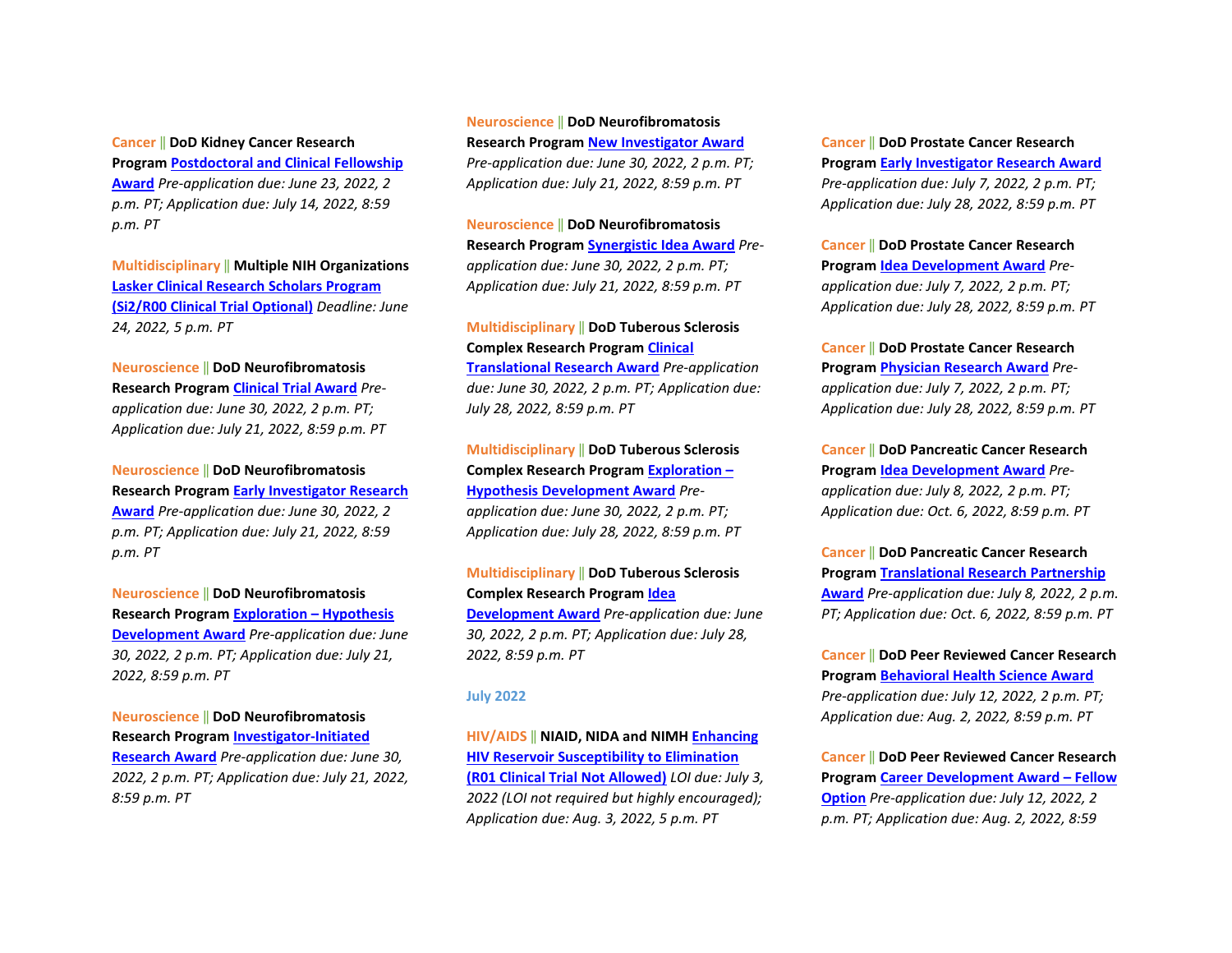**Cancer** ‖ **DoD Kidney Cancer Research Program [Postdoctoral and Clinical Fellowship](https://cdmrp.army.mil/pubs/press/2022/22kcrppreann)  [Award](https://cdmrp.army.mil/pubs/press/2022/22kcrppreann)** *Pre-application due: June 23, 2022, 2 p.m. PT; Application due: July 14, 2022, 8:59 p.m. PT*

**Multidisciplinary** ‖ **Multiple NIH Organizations [Lasker Clinical Research Scholars Program](https://grants.nih.gov/grants/guide/pa-files/PAR-22-078.html)  [\(Si2/R00 Clinical Trial Optional\)](https://grants.nih.gov/grants/guide/pa-files/PAR-22-078.html)** *Deadline: June 24, 2022, 5 p.m. PT*

#### **Neuroscience** ‖ **DoD Neurofibromatosis Research Program [Clinical Trial Award](https://cdmrp.army.mil/pubs/press/2022/22nfrppreann)** *Pre-*

*application due: June 30, 2022, 2 p.m. PT; Application due: July 21, 2022, 8:59 p.m. PT* 

**Neuroscience** ‖ **DoD Neurofibromatosis Research Program [Early Investigator Research](https://cdmrp.army.mil/pubs/press/2022/22nfrppreann)  [Award](https://cdmrp.army.mil/pubs/press/2022/22nfrppreann)** *Pre-application due: June 30, 2022, 2 p.m. PT; Application due: July 21, 2022, 8:59 p.m. PT* 

**Neuroscience** ‖ **DoD Neurofibromatosis Research Program [Exploration – Hypothesis](https://cdmrp.army.mil/pubs/press/2022/22nfrppreann)  [Development Award](https://cdmrp.army.mil/pubs/press/2022/22nfrppreann)** *Pre-application due: June 30, 2022, 2 p.m. PT; Application due: July 21, 2022, 8:59 p.m. PT* 

**Neuroscience** ‖ **DoD Neurofibromatosis Research Program [Investigator-Initiated](https://cdmrp.army.mil/pubs/press/2022/22nfrppreann)  [Research Award](https://cdmrp.army.mil/pubs/press/2022/22nfrppreann)** *Pre-application due: June 30, 2022, 2 p.m. PT; Application due: July 21, 2022, 8:59 p.m. PT* 

## **Neuroscience** ‖ **DoD Neurofibromatosis Research Program [New Investigator Award](https://cdmrp.army.mil/pubs/press/2022/22nfrppreann)** *Pre-application due: June 30, 2022, 2 p.m. PT;*

*Application due: July 21, 2022, 8:59 p.m. PT* 

**Neuroscience** ‖ **DoD Neurofibromatosis Research Program [Synergistic Idea Award](https://cdmrp.army.mil/pubs/press/2022/22nfrppreann)** *Preapplication due: June 30, 2022, 2 p.m. PT; Application due: July 21, 2022, 8:59 p.m. PT*

## **Multidisciplinary** ‖ **DoD Tuberous Sclerosis Complex Research Progra[m Clinical](https://cdmrp.army.mil/funding/tscrp)**

**[Translational Research Award](https://cdmrp.army.mil/funding/tscrp)** *Pre-application due: June 30, 2022, 2 p.m. PT; Application due: July 28, 2022, 8:59 p.m. PT* 

**Multidisciplinary** ‖ **DoD Tuberous Sclerosis Complex Research Progra[m Exploration –](https://cdmrp.army.mil/funding/tscrp)  [Hypothesis Development Award](https://cdmrp.army.mil/funding/tscrp)** *Preapplication due: June 30, 2022, 2 p.m. PT; Application due: July 28, 2022, 8:59 p.m. PT* 

**Multidisciplinary** ‖ **DoD Tuberous Sclerosis Complex Research Progra[m Idea](https://cdmrp.army.mil/funding/tscrp)  [Development Award](https://cdmrp.army.mil/funding/tscrp)** *Pre-application due: June 30, 2022, 2 p.m. PT; Application due: July 28, 2022, 8:59 p.m. PT*

#### **July 2022**

**HIV/AIDS** ‖ **NIAID, NIDA and NIMH [Enhancing](https://grants.nih.gov/grants/guide/rfa-files/RFA-AI-22-025.html)  [HIV Reservoir Susceptibility to Elimination](https://grants.nih.gov/grants/guide/rfa-files/RFA-AI-22-025.html)  [\(R01 Clinical Trial Not](https://grants.nih.gov/grants/guide/rfa-files/RFA-AI-22-025.html) Allowed)** *LOI due: July 3, 2022 (LOI not required but highly encouraged); Application due: Aug. 3, 2022, 5 p.m. PT*

**Cancer** ‖ **DoD Prostate Cancer Research Program [Early Investigator Research Award](https://cdmrp.army.mil/pubs/press/2022/22pcrppreann)** *Pre-application due: July 7, 2022, 2 p.m. PT; Application due: July 28, 2022, 8:59 p.m. PT* 

**Cancer** ‖ **DoD Prostate Cancer Research Program [Idea Development Award](https://cdmrp.army.mil/pubs/press/2022/22pcrppreann)** *Preapplication due: July 7, 2022, 2 p.m. PT; Application due: July 28, 2022, 8:59 p.m. PT* 

**Cancer** ‖ **DoD Prostate Cancer Research Program [Physician Research Award](https://cdmrp.army.mil/pubs/press/2022/22pcrppreann)** *Preapplication due: July 7, 2022, 2 p.m. PT; Application due: July 28, 2022, 8:59 p.m. PT*

**Cancer** ‖ **DoD Pancreatic Cancer Research Program [Idea Development Award](https://cdmrp.army.mil/funding/pa/W81XWH-22-PCARP-IDA-GG.pdf)** *Preapplication due: July 8, 2022, 2 p.m. PT; Application due: Oct. 6, 2022, 8:59 p.m. PT* 

**Cancer** ‖ **DoD Pancreatic Cancer Research Program [Translational Research Partnership](https://cdmrp.army.mil/funding/pa/W81XWH-22-PCARP-IDA-GG.pdf)  [Award](https://cdmrp.army.mil/funding/pa/W81XWH-22-PCARP-IDA-GG.pdf)** *Pre-application due: July 8, 2022, 2 p.m. PT; Application due: Oct. 6, 2022, 8:59 p.m. PT*

**Cancer** ‖ **DoD Peer Reviewed Cancer Research Program [Behavioral Health Science Award](https://cdmrp.army.mil/funding/prcrp)** *Pre-application due: July 12, 2022, 2 p.m. PT; Application due: Aug. 2, 2022, 8:59 p.m. PT* 

**Cancer** ‖ **DoD Peer Reviewed Cancer Research Program [Career Development Award – Fellow](https://cdmrp.army.mil/funding/prcrp)  [Option](https://cdmrp.army.mil/funding/prcrp)** *Pre-application due: July 12, 2022, 2 p.m. PT; Application due: Aug. 2, 2022, 8:59*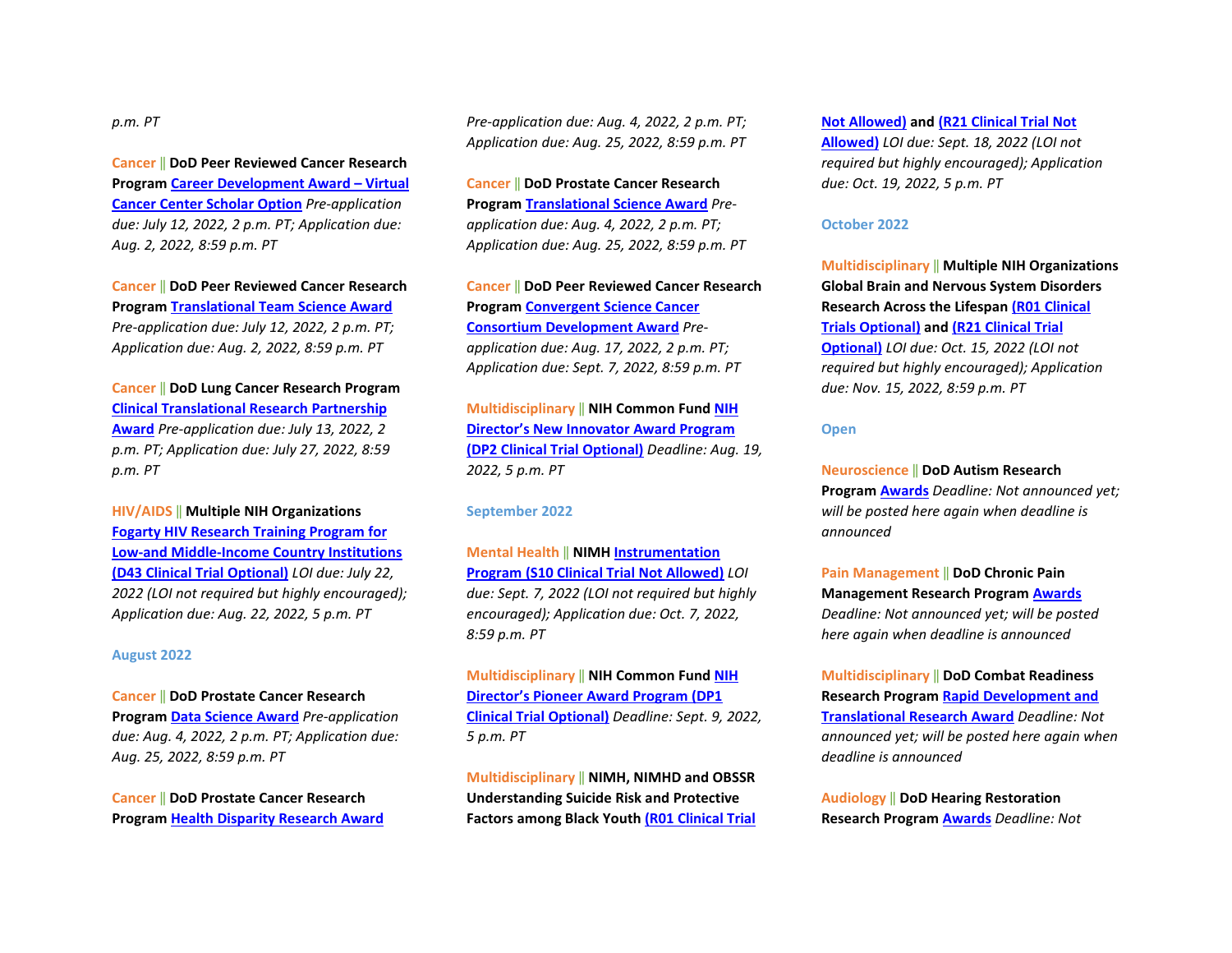#### *p.m. PT*

**Cancer** ‖ **DoD Peer Reviewed Cancer Research Program [Career Development Award – Virtual](https://cdmrp.army.mil/funding/prcrp)  [Cancer Center Scholar Option](https://cdmrp.army.mil/funding/prcrp)** *Pre-application due: July 12, 2022, 2 p.m. PT; Application due: Aug. 2, 2022, 8:59 p.m. PT* 

**Cancer** ‖ **DoD Peer Reviewed Cancer Research Program [Translational Team Science Award](https://cdmrp.army.mil/funding/prcrp)** *Pre-application due: July 12, 2022, 2 p.m. PT; Application due: Aug. 2, 2022, 8:59 p.m. PT*

**Cancer** ‖ **DoD Lung Cancer Research Program [Clinical Translational Research Partnership](https://cdmrp.army.mil/pubs/press/2022/22lcrppreann)  [Award](https://cdmrp.army.mil/pubs/press/2022/22lcrppreann)** *Pre-application due: July 13, 2022, 2 p.m. PT; Application due: July 27, 2022, 8:59 p.m. PT*

**HIV/AIDS** ‖ **Multiple NIH Organizations [Fogarty HIV Research Training Program for](https://grants.nih.gov/grants/guide/pa-files/PAR-22-151.html)  [Low-and Middle-Income Country Institutions](https://grants.nih.gov/grants/guide/pa-files/PAR-22-151.html)  [\(D43 Clinical Trial Optional\)](https://grants.nih.gov/grants/guide/pa-files/PAR-22-151.html)** *LOI due: July 22, 2022 (LOI not required but highly encouraged); Application due: Aug. 22, 2022, 5 p.m. PT*

#### **August 2022**

**Cancer** ‖ **DoD Prostate Cancer Research Program [Data Science Award](https://cdmrp.army.mil/pubs/press/2022/22pcrppreann)** *Pre-application due: Aug. 4, 2022, 2 p.m. PT; Application due: Aug. 25, 2022, 8:59 p.m. PT* 

**Cancer** ‖ **DoD Prostate Cancer Research Program [Health Disparity Research Award](https://cdmrp.army.mil/pubs/press/2022/22pcrppreann)** *Pre-application due: Aug. 4, 2022, 2 p.m. PT; Application due: Aug. 25, 2022, 8:59 p.m. PT*

**Cancer** ‖ **DoD Prostate Cancer Research Program [Translational Science Award](https://cdmrp.army.mil/pubs/press/2022/22pcrppreann)** *Preapplication due: Aug. 4, 2022, 2 p.m. PT; Application due: Aug. 25, 2022, 8:59 p.m. PT*

**Cancer** ‖ **DoD Peer Reviewed Cancer Research Program [Convergent Science Cancer](https://cdmrp.army.mil/funding/prcrp)  [Consortium Development Award](https://cdmrp.army.mil/funding/prcrp)** *Preapplication due: Aug. 17, 2022, 2 p.m. PT; Application due: Sept. 7, 2022, 8:59 p.m. PT*

**Multidisciplinary** ‖ **NIH Common Fund [NIH](https://grants.nih.gov/grants/guide/rfa-files/RFA-RM-22-019.html)  [Director's New Innovator Award Program](https://grants.nih.gov/grants/guide/rfa-files/RFA-RM-22-019.html)  [\(DP2 Clinical Trial Optional\)](https://grants.nih.gov/grants/guide/rfa-files/RFA-RM-22-019.html)** *Deadline: Aug. 19, 2022, 5 p.m. PT*

#### **September 2022**

**Mental Health** ‖ **NIMH [Instrumentation](https://grants.nih.gov/grants/guide/rfa-files/RFA-MH-22-155.html)  [Program \(S10 Clinical Trial Not Allowed\)](https://grants.nih.gov/grants/guide/rfa-files/RFA-MH-22-155.html)** *LOI due: Sept. 7, 2022 (LOI not required but highly encouraged); Application due: Oct. 7, 2022, 8:59 p.m. PT*

**Multidisciplinary** ‖ **NIH Common Fund [NIH](https://grants.nih.gov/grants/guide/rfa-files/RFA-RM-22-018.html)  [Director's Pioneer Award Program \(DP1](https://grants.nih.gov/grants/guide/rfa-files/RFA-RM-22-018.html)  [Clinical Trial Optional\)](https://grants.nih.gov/grants/guide/rfa-files/RFA-RM-22-018.html)** *Deadline: Sept. 9, 2022, 5 p.m. PT*

**Multidisciplinary** ‖ **NIMH, NIMHD and OBSSR Understanding Suicide Risk and Protective Factors among Black Yout[h \(R01 Clinical Trial](https://grants.nih.gov/grants/guide/rfa-files/RFA-MH-22-140.html)**  **[Not Allowed\)](https://grants.nih.gov/grants/guide/rfa-files/RFA-MH-22-140.html) and [\(R21 Clinical Trial Not](https://grants.nih.gov/grants/guide/rfa-files/RFA-MH-22-141.html)** 

**[Allowed\)](https://grants.nih.gov/grants/guide/rfa-files/RFA-MH-22-141.html)** *LOI due: Sept. 18, 2022 (LOI not required but highly encouraged); Application due: Oct. 19, 2022, 5 p.m. PT*

#### **October 2022**

**Multidisciplinary** ‖ **Multiple NIH Organizations Global Brain and Nervous System Disorders Research Across the Lifespa[n \(R01 Clinical](https://grants.nih.gov/grants/guide/pa-files/PAR-22-097.html)  [Trials Optional\)](https://grants.nih.gov/grants/guide/pa-files/PAR-22-097.html) and [\(R21 Clinical Trial](https://grants.nih.gov/grants/guide/pa-files/PAR-22-098.html)  [Optional\)](https://grants.nih.gov/grants/guide/pa-files/PAR-22-098.html)** *LOI due: Oct. 15, 2022 (LOI not required but highly encouraged); Application due: Nov. 15, 2022, 8:59 p.m. PT*

#### **Open**

**Neuroscience** ‖ **DoD Autism Research Program [Awards](https://cdmrp.army.mil/pubs/press/2022/22arppreann)** *Deadline: Not announced yet; will be posted here again when deadline is announced*

**Pain Management** ‖ **DoD Chronic Pain Management Research Program [Awards](https://cdmrp.army.mil/pubs/press/2022/22cpmrppreann)** *Deadline: Not announced yet; will be posted here again when deadline is announced*

**Multidisciplinary** ‖ **DoD Combat Readiness Research Program [Rapid Development and](https://cdmrp.army.mil/pubs/press/2022/22crrppreann)  [Translational Research Award](https://cdmrp.army.mil/pubs/press/2022/22crrppreann)** *Deadline: Not announced yet; will be posted here again when deadline is announced*

**Audiology** ‖ **DoD Hearing Restoration Research Program [Awards](https://cdmrp.army.mil/pubs/press/2022/22hrrppreann)** *Deadline: Not*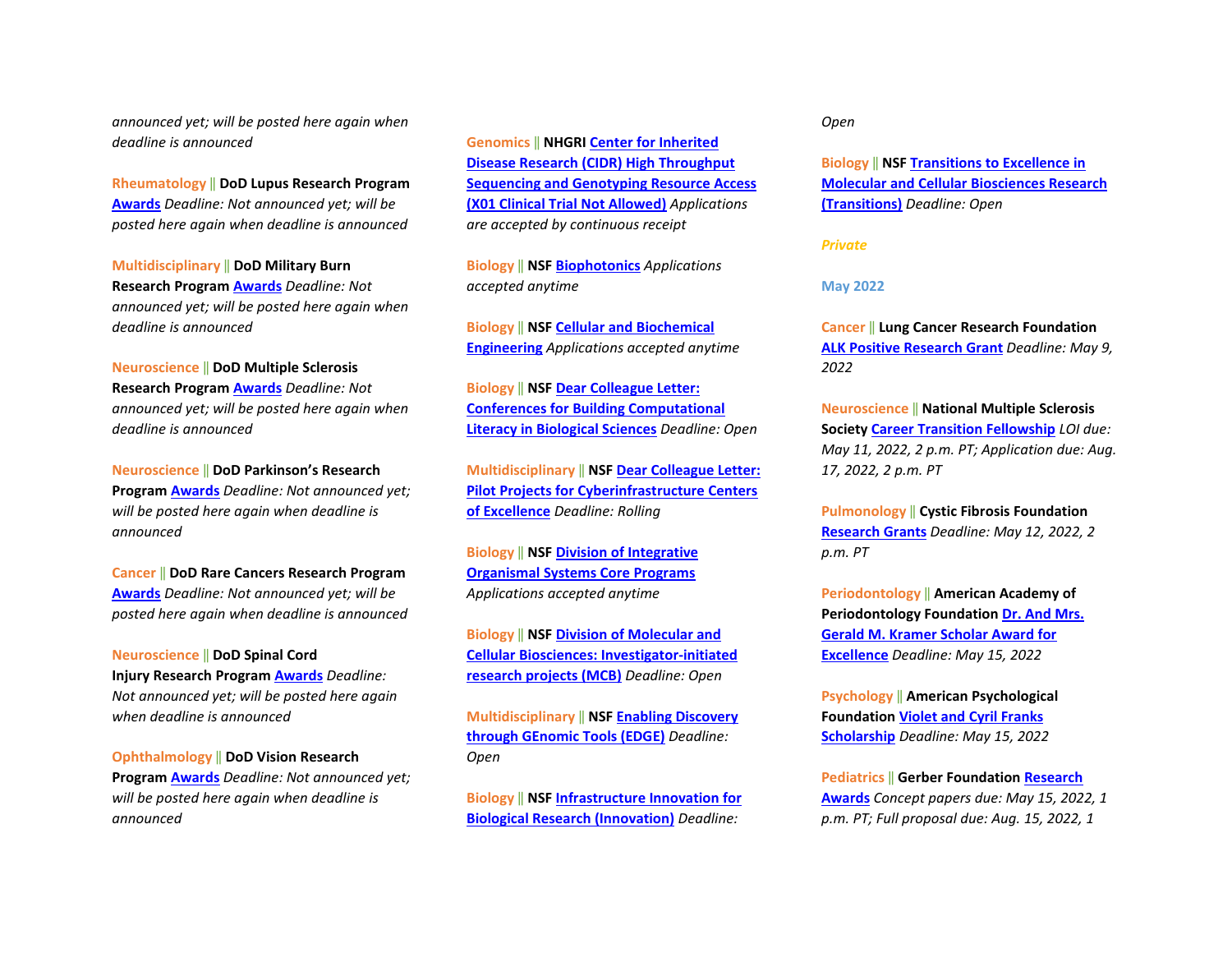*announced yet; will be posted here again when deadline is announced*

**Rheumatology** ‖ **DoD Lupus Research Program [Awards](https://cdmrp.army.mil/pubs/press/2022/22lrppreann)** *Deadline: Not announced yet; will be posted here again when deadline is announced*

**Multidisciplinary** ‖ **DoD Military Burn Research Program [Awards](https://cdmrp.army.mil/pubs/press/2022/22mbrppreann)** *Deadline: Not announced yet; will be posted here again when deadline is announced*

**Neuroscience** ‖ **DoD Multiple Sclerosis Research Program [Awards](https://cdmrp.army.mil/pubs/press/2022/22msrppreann)** *Deadline: Not announced yet; will be posted here again when deadline is announced* 

**Neuroscience** ‖ **DoD Parkinson's Research Program [Awards](https://cdmrp.army.mil/pubs/press/2022/22prppreann)** *Deadline: Not announced yet; will be posted here again when deadline is announced*

**Cancer** ‖ **DoD Rare Cancers Research Program [Awards](https://cdmrp.army.mil/pubs/press/2022/22rcrppreann)** *Deadline: Not announced yet; will be posted here again when deadline is announced*

**Neuroscience** ‖ **DoD Spinal Cord Injury Research Progra[m Awards](https://cdmrp.army.mil/pubs/press/2022/22scirppreann)** *Deadline: Not announced yet; will be posted here again when deadline is announced* 

**Ophthalmology** ‖ **DoD Vision Research Program [Awards](https://cdmrp.army.mil/pubs/press/2022/22vrppreann)** *Deadline: Not announced yet; will be posted here again when deadline is announced*

**Genomics** ‖ **NHGRI [Center for Inherited](https://grants.nih.gov/grants/guide/pa-files/PAR-20-230.html)  [Disease Research \(CIDR\) High Throughput](https://grants.nih.gov/grants/guide/pa-files/PAR-20-230.html)  [Sequencing and Genotyping Resource Access](https://grants.nih.gov/grants/guide/pa-files/PAR-20-230.html)  [\(X01 Clinical Trial Not Allowed\)](https://grants.nih.gov/grants/guide/pa-files/PAR-20-230.html)** *Applications are accepted by continuous receipt* 

**Biology** ‖ **NSF [Biophotonics](https://www.nsf.gov/funding/pgm_summ.jsp?pims_id=505719)** *Applications accepted anytime*

**Biology** ‖ **NSF [Cellular and Biochemical](https://www.nsf.gov/funding/pgm_summ.jsp?pims_id=505721)  [Engineering](https://www.nsf.gov/funding/pgm_summ.jsp?pims_id=505721)** *Applications accepted anytime* 

**Biology** ‖ **NSF [Dear Colleague Letter:](https://www.nsf.gov/pubs/2020/nsf20074/nsf20074.jsp?WT.mc_id=USNSF_25&WT.mc_ev=click)  [Conferences for Building Computational](https://www.nsf.gov/pubs/2020/nsf20074/nsf20074.jsp?WT.mc_id=USNSF_25&WT.mc_ev=click)  [Literacy in Biological Sciences](https://www.nsf.gov/pubs/2020/nsf20074/nsf20074.jsp?WT.mc_id=USNSF_25&WT.mc_ev=click)** *Deadline: Open* 

**Multidisciplinary** ‖ **NS[F Dear Colleague Letter:](https://www.nsf.gov/pubs/2021/nsf21037/nsf21037.jsp?WT.mc_id=USNSF_25&WT.mc_ev=click)  [Pilot Projects for Cyberinfrastructure Centers](https://www.nsf.gov/pubs/2021/nsf21037/nsf21037.jsp?WT.mc_id=USNSF_25&WT.mc_ev=click)  [of Excellence](https://www.nsf.gov/pubs/2021/nsf21037/nsf21037.jsp?WT.mc_id=USNSF_25&WT.mc_ev=click)** *Deadline: Rolling*

**Biology** ‖ **NSF [Division of Integrative](https://www.nsf.gov/pubs/2020/nsf20536/nsf20536.htm?WT.mc_id=USNSF_25&WT.mc_ev=click)  [Organismal Systems Core Programs](https://www.nsf.gov/pubs/2020/nsf20536/nsf20536.htm?WT.mc_id=USNSF_25&WT.mc_ev=click)** *Applications accepted anytime* 

**Biology** ‖ **NSF [Division of Molecular and](https://www.nsf.gov/pubs/2021/nsf21509/nsf21509.htm?WT.mc_id=USNSF_25&WT.mc_ev=click)  [Cellular Biosciences: Investigator-initiated](https://www.nsf.gov/pubs/2021/nsf21509/nsf21509.htm?WT.mc_id=USNSF_25&WT.mc_ev=click)  [research projects \(MCB\)](https://www.nsf.gov/pubs/2021/nsf21509/nsf21509.htm?WT.mc_id=USNSF_25&WT.mc_ev=click)** *Deadline: Open*

**Multidisciplinary** ‖ **NS[F Enabling Discovery](https://www.nsf.gov/pubs/2020/nsf20532/nsf20532.htm?WT.mc_id=USNSF_25&WT.mc_ev=click)  [through GEnomic Tools \(EDGE\)](https://www.nsf.gov/pubs/2020/nsf20532/nsf20532.htm?WT.mc_id=USNSF_25&WT.mc_ev=click)** *Deadline: Open* 

**Biology** ‖ **NSF [Infrastructure Innovation for](https://www.nsf.gov/pubs/2021/nsf21502/nsf21502.htm?WT.mc_id=USNSF_25&WT.mc_ev=click)  [Biological Research \(Innovation\)](https://www.nsf.gov/pubs/2021/nsf21502/nsf21502.htm?WT.mc_id=USNSF_25&WT.mc_ev=click)** *Deadline:* 

*Open* 

**Biology** ‖ **NSF [Transitions to Excellence in](https://www.nsf.gov/pubs/2021/nsf21508/nsf21508.htm?WT.mc_id=USNSF_25&WT.mc_ev=click)  [Molecular and Cellular Biosciences Research](https://www.nsf.gov/pubs/2021/nsf21508/nsf21508.htm?WT.mc_id=USNSF_25&WT.mc_ev=click)  [\(Transitions\)](https://www.nsf.gov/pubs/2021/nsf21508/nsf21508.htm?WT.mc_id=USNSF_25&WT.mc_ev=click)** *Deadline: Open*

*Private*

**May 2022** 

**Cancer** ‖ **Lung Cancer Research Foundation [ALK Positive Research Grant](https://www.lungcancerresearchfoundation.org/research/funding-opportunities-2022/)** *Deadline: May 9, 2022*

**Neuroscience** ‖ **National Multiple Sclerosis Society [Career Transition Fellowship](https://www.nationalmssociety.org/For-Professionals/Researchers/Society-Funding/Training-Grants-and-Fellowships/Career-Transition-Fellowships)** *LOI due: May 11, 2022, 2 p.m. PT; Application due: Aug. 17, 2022, 2 p.m. PT*

**Pulmonology** ‖ **Cystic Fibrosis Foundation [Research Grants](https://www.cff.org/sites/default/files/2021-11/Research-Grants-Policies-and-Guidelines.pdf)** *Deadline: May 12, 2022, 2 p.m. PT* 

**Periodontology** ‖ **American Academy of Periodontology Foundation [Dr. And Mrs.](https://www.periofoundation.org/awards/29-education-awards/20-dr-and-mrs-gerald-m-kramer-scholar-award-for-excellence)  [Gerald M. Kramer Scholar Award for](https://www.periofoundation.org/awards/29-education-awards/20-dr-and-mrs-gerald-m-kramer-scholar-award-for-excellence)  [Excellence](https://www.periofoundation.org/awards/29-education-awards/20-dr-and-mrs-gerald-m-kramer-scholar-award-for-excellence)** *Deadline: May 15, 2022* 

**Psychology** ‖ **American Psychological Foundation Violet [and Cyril Franks](https://www.apa.org/apf/funding/franks?tab=1)  [Scholarship](https://www.apa.org/apf/funding/franks?tab=1)** *Deadline: May 15, 2022* 

**Pediatrics** ‖ **Gerber Foundatio[n Research](https://www.gerberfoundation.org/how-to-apply/)  [Awards](https://www.gerberfoundation.org/how-to-apply/)** *Concept papers due: May 15, 2022, 1 p.m. PT; Full proposal due: Aug. 15, 2022, 1*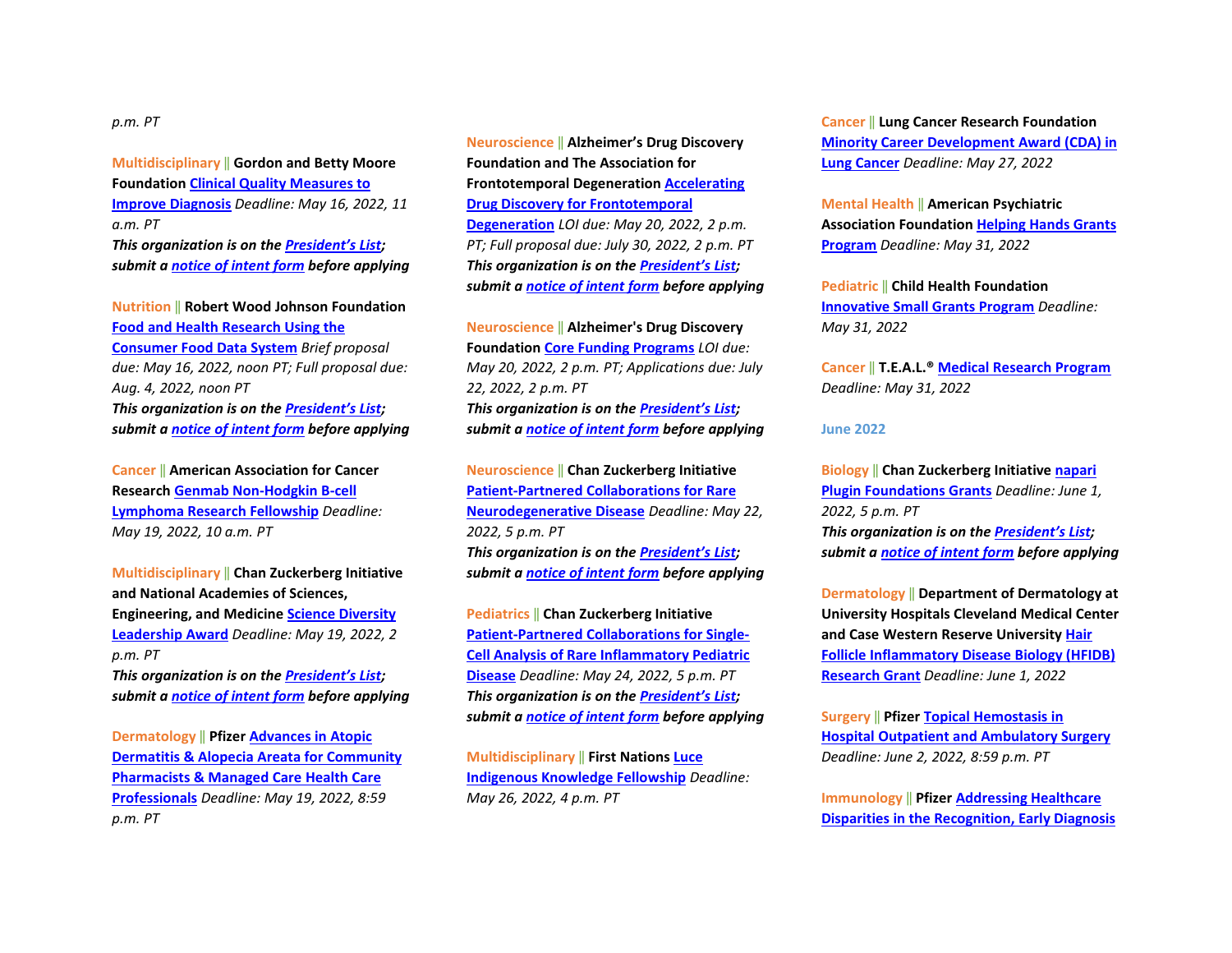#### *p.m. PT*

**Multidisciplinary** ‖ **Gordon and Betty Moore Foundation [Clinical Quality Measures to](https://moore-patientcare.smapply.io/prog/request_for_proposals/)  [Improve Diagnosis](https://moore-patientcare.smapply.io/prog/request_for_proposals/)** *Deadline: May 16, 2022, 11 a.m. PT* *This organization is on th[e President's List;](https://o2.ohsu.edu/foundations/research-program-grants/ohsu-presidents-list/index.cfm)  submit a [notice of intent form](https://app.smartsheet.com/b/form?EQBCT=b4b914967b774308b1947bbf8ab27b15) before applying* 

**Nutrition** ‖ **Robert Wood Johnson Foundation [Food and Health Research Using the](https://www.rwjf.org/en/library/funding-opportunities/2022/consumer-food-data-system-grant-competition-for-food-and-health-research.html)  [Consumer Food Data System](https://www.rwjf.org/en/library/funding-opportunities/2022/consumer-food-data-system-grant-competition-for-food-and-health-research.html)** *Brief proposal due: May 16, 2022, noon PT; Full proposal due: Aug. 4, 2022, noon PT* *This organization is on th[e President's List;](https://o2.ohsu.edu/foundations/research-program-grants/ohsu-presidents-list/index.cfm)  submit a [notice of intent form](https://app.smartsheet.com/b/form?EQBCT=b4b914967b774308b1947bbf8ab27b15) before applying* 

**Cancer** ‖ **American Association for Cancer Research [Genmab Non-Hodgkin B-cell](https://www.aacr.org/grants/aacr-genmab-non-hodgkin-b-cell-lymphoma-research-fellowship/)  [Lymphoma Research Fellowship](https://www.aacr.org/grants/aacr-genmab-non-hodgkin-b-cell-lymphoma-research-fellowship/)** *Deadline: May 19, 2022, 10 a.m. PT*

**Multidisciplinary** ‖ **Chan Zuckerberg Initiative and National Academies of Sciences, Engineering, and Medicin[e Science Diversity](https://czi-sciencediversityleadership.nas.edu/?utm_campaign=Science&utm_medium=email&_hsmi=202011041&_hsenc=p2ANqtz--88UBGvJXoN3C0KeiJ-89MnlZpGjmf8rrlX-AyT84l34RT1EonLsHO7mZdma9Q4g52qVSroB6WYVu2nSny9f0KmJjt0Q&utm_content=202011041&utm_source=hs_email)  [Leadership Award](https://czi-sciencediversityleadership.nas.edu/?utm_campaign=Science&utm_medium=email&_hsmi=202011041&_hsenc=p2ANqtz--88UBGvJXoN3C0KeiJ-89MnlZpGjmf8rrlX-AyT84l34RT1EonLsHO7mZdma9Q4g52qVSroB6WYVu2nSny9f0KmJjt0Q&utm_content=202011041&utm_source=hs_email)** *Deadline: May 19, 2022, 2 p.m. PT* *This organization is on th[e President's List;](https://o2.ohsu.edu/foundations/research-program-grants/ohsu-presidents-list/index.cfm)* 

*submit a [notice of intent form](https://app.smartsheet.com/b/form?EQBCT=b4b914967b774308b1947bbf8ab27b15) before applying* 

**Dermatology** ‖ **Pfizer [Advances in Atopic](https://cdn.pfizer.com/pfizercom/2022-04/2022%20Advances%20in%20AD%20AA%20for%20Pharmacists%20Managed%20Care.pdf?XKYNvMK7OPUbUq_IddbBCqaVN0HNaB8C)  [Dermatitis & Alopecia Areata for Community](https://cdn.pfizer.com/pfizercom/2022-04/2022%20Advances%20in%20AD%20AA%20for%20Pharmacists%20Managed%20Care.pdf?XKYNvMK7OPUbUq_IddbBCqaVN0HNaB8C)  [Pharmacists & Managed Care Health Care](https://cdn.pfizer.com/pfizercom/2022-04/2022%20Advances%20in%20AD%20AA%20for%20Pharmacists%20Managed%20Care.pdf?XKYNvMK7OPUbUq_IddbBCqaVN0HNaB8C)  [Professionals](https://cdn.pfizer.com/pfizercom/2022-04/2022%20Advances%20in%20AD%20AA%20for%20Pharmacists%20Managed%20Care.pdf?XKYNvMK7OPUbUq_IddbBCqaVN0HNaB8C)** *Deadline: May 19, 2022, 8:59 p.m. PT* 

**Neuroscience** ‖ **Alzheimer's Drug Discovery Foundation and The Association for Frontotemporal Degeneratio[n Accelerating](https://www.alzdiscovery.org/research-and-grants/funding-opportunities/accelerating-drug-discovery-for-ftd)  [Drug Discovery for Frontotemporal](https://www.alzdiscovery.org/research-and-grants/funding-opportunities/accelerating-drug-discovery-for-ftd)  [Degeneration](https://www.alzdiscovery.org/research-and-grants/funding-opportunities/accelerating-drug-discovery-for-ftd)** *LOI due: May 20, 2022, 2 p.m. PT; Full proposal due: July 30, 2022, 2 p.m. PT* *This organization is on th[e President's List;](https://o2.ohsu.edu/foundations/research-program-grants/ohsu-presidents-list/index.cfm)  submit a [notice of intent form](https://app.smartsheet.com/b/form?EQBCT=b4b914967b774308b1947bbf8ab27b15) before applying* 

**Neuroscience** ‖ **Alzheimer's Drug Discovery Foundation [Core Funding Programs](https://www.alzdiscovery.org/research-and-grants/funding-opportunities)** *LOI due: May 20, 2022, 2 p.m. PT; Applications due: July 22, 2022, 2 p.m. PT* *This organization is on th[e President's List;](https://o2.ohsu.edu/foundations/research-program-grants/ohsu-presidents-list/index.cfm)  submit a [notice of intent form](https://app.smartsheet.com/b/form?EQBCT=b4b914967b774308b1947bbf8ab27b15) before applying* 

**Neuroscience** ‖ **Chan Zuckerberg Initiative [Patient-Partnered Collaborations for Rare](https://chanzuckerberg.com/rfa/patient-partnered-collaborations-ppc-for-rare-neurodegenerative-disease/?utm_campaign=Science&utm_medium=email&_hsmi=202580275&_hsenc=p2ANqtz-946U4Kw7ThYOIbDmUNI8BHEU-hdDrbGmVUqjm-UgnUV0y5OmZh0xv2X-s_N7gvjxD35Lw5BLa8ym_RUDx7x5zTK4nCIA&utm_content=202580275&utm_source=hs_email)  [Neurodegenerative Disease](https://chanzuckerberg.com/rfa/patient-partnered-collaborations-ppc-for-rare-neurodegenerative-disease/?utm_campaign=Science&utm_medium=email&_hsmi=202580275&_hsenc=p2ANqtz-946U4Kw7ThYOIbDmUNI8BHEU-hdDrbGmVUqjm-UgnUV0y5OmZh0xv2X-s_N7gvjxD35Lw5BLa8ym_RUDx7x5zTK4nCIA&utm_content=202580275&utm_source=hs_email)** *Deadline: May 22, 2022, 5 p.m. PT* *This organization is on th[e President's List;](https://o2.ohsu.edu/foundations/research-program-grants/ohsu-presidents-list/index.cfm)  submit a [notice of intent form](https://app.smartsheet.com/b/form?EQBCT=b4b914967b774308b1947bbf8ab27b15) before applying* 

**Pediatrics** ‖ **Chan Zuckerberg Initiative [Patient-Partnered Collaborations for Single-](https://chanzuckerberg.com/rfa/patient-partnered-collaborations-ppc-for-single-cell-analysis-of-rare-inflammatory-pediatric-disease/?utm_campaign=Science&utm_medium=email&_hsmi=202580275&_hsenc=p2ANqtz--ZJQ1ZVboYQ8IjCVmLEiXg223VV2gl607F0C4t8ORCAD1ruU7JpprCrP-K67vjH6EVYjxhoZPv8KHkER79YC8miPSm_A&utm_content=202580275&utm_source=hs_email)[Cell Analysis of Rare Inflammatory Pediatric](https://chanzuckerberg.com/rfa/patient-partnered-collaborations-ppc-for-single-cell-analysis-of-rare-inflammatory-pediatric-disease/?utm_campaign=Science&utm_medium=email&_hsmi=202580275&_hsenc=p2ANqtz--ZJQ1ZVboYQ8IjCVmLEiXg223VV2gl607F0C4t8ORCAD1ruU7JpprCrP-K67vjH6EVYjxhoZPv8KHkER79YC8miPSm_A&utm_content=202580275&utm_source=hs_email)  [Disease](https://chanzuckerberg.com/rfa/patient-partnered-collaborations-ppc-for-single-cell-analysis-of-rare-inflammatory-pediatric-disease/?utm_campaign=Science&utm_medium=email&_hsmi=202580275&_hsenc=p2ANqtz--ZJQ1ZVboYQ8IjCVmLEiXg223VV2gl607F0C4t8ORCAD1ruU7JpprCrP-K67vjH6EVYjxhoZPv8KHkER79YC8miPSm_A&utm_content=202580275&utm_source=hs_email)** *Deadline: May 24, 2022, 5 p.m. PT* *This organization is on th[e President's List;](https://o2.ohsu.edu/foundations/research-program-grants/ohsu-presidents-list/index.cfm)  submit a [notice of intent form](https://app.smartsheet.com/b/form?EQBCT=b4b914967b774308b1947bbf8ab27b15) before applying* 

**Multidisciplinary** ‖ **First Nations [Luce](https://www.firstnations.org/rfps/luce-2023/?bbeml=tp-pck9Q6QNPEiuBt3JmyTokQ.jjxjUwkq7j0qZ6JY8TF6ZyA.ryhV3KooWDEmTfEFb_-AY7A.lG2Twnxevk0qKGIsR419B5Q)  [Indigenous Knowledge Fellowship](https://www.firstnations.org/rfps/luce-2023/?bbeml=tp-pck9Q6QNPEiuBt3JmyTokQ.jjxjUwkq7j0qZ6JY8TF6ZyA.ryhV3KooWDEmTfEFb_-AY7A.lG2Twnxevk0qKGIsR419B5Q)** *Deadline: May 26, 2022, 4 p.m. PT*

**Cancer** ‖ **Lung Cancer Research Foundation [Minority Career Development Award \(CDA\) in](https://www.lungcancerresearchfoundation.org/research/funding-opportunities-2022/)  [Lung Cancer](https://www.lungcancerresearchfoundation.org/research/funding-opportunities-2022/)** *Deadline: May 27, 2022*

**Mental Health** ‖ **American Psychiatric Association Foundation [Helping Hands Grants](https://apafdn.org/Impact/Community/Helping-Hands-Grants/Application)  [Program](https://apafdn.org/Impact/Community/Helping-Hands-Grants/Application)** *Deadline: May 31, 2022* 

**Pediatric** ‖ **Child Health Foundation [Innovative Small Grants Program](https://childhealthfoundation.org/how-to-apply/)** *Deadline: May 31, 2022*

**Cancer** ‖ **T.E.A.L.® [Medical Research Program](https://tealwalk.org/beneficiaries/)** *Deadline: May 31, 2022*

#### **June 2022**

**Biology** ‖ **Chan Zuckerberg Initiative [napari](https://chanzuckerberg.com/rfa/napari-plugin-grants/?utm_campaign=Science&utm_medium=email&_hsmi=210365815&_hsenc=p2ANqtz--nAEQtge5PddaCkuwjZ2d5OX2ZfAkLvWRRXsrCNTbiI2ERgju_-O7iR6thKypomFPXOYwYnieVr8N1iIo3Ct0_S1Na7g&utm_content=210365815&utm_source=hs_email)  [Plugin Foundations Grants](https://chanzuckerberg.com/rfa/napari-plugin-grants/?utm_campaign=Science&utm_medium=email&_hsmi=210365815&_hsenc=p2ANqtz--nAEQtge5PddaCkuwjZ2d5OX2ZfAkLvWRRXsrCNTbiI2ERgju_-O7iR6thKypomFPXOYwYnieVr8N1iIo3Ct0_S1Na7g&utm_content=210365815&utm_source=hs_email)** *Deadline: June 1, 2022, 5 p.m. PT* *This organization is on th[e President's List;](https://o2.ohsu.edu/foundations/research-program-grants/ohsu-presidents-list/index.cfm)  submit a [notice of intent form](https://app.smartsheet.com/b/form?EQBCT=b4b914967b774308b1947bbf8ab27b15) before applying*

**Dermatology** ‖ **Department of Dermatology at University Hospitals Cleveland Medical Center and Case Western Reserve University [Hair](https://www.uhhospitals.org/uh-research/department-research/dermatology-research/hfidb-research-grant)  [Follicle Inflammatory Disease Biology \(HFIDB\)](https://www.uhhospitals.org/uh-research/department-research/dermatology-research/hfidb-research-grant)  [Research Grant](https://www.uhhospitals.org/uh-research/department-research/dermatology-research/hfidb-research-grant)** *Deadline: June 1, 2022* 

**Surgery** ‖ **Pfizer [Topical Hemostasis in](https://cdn.pfizer.com/pfizercom/2022-04/GMG_2022-HOS-US_TopicalHemostasisHospitalOutpatientAmbulatorySurgery.pdf?LsrivFTCJ3YId2S2PJma6WU2D1CEoYhE)  [Hospital Outpatient and Ambulatory Surgery](https://cdn.pfizer.com/pfizercom/2022-04/GMG_2022-HOS-US_TopicalHemostasisHospitalOutpatientAmbulatorySurgery.pdf?LsrivFTCJ3YId2S2PJma6WU2D1CEoYhE)** *Deadline: June 2, 2022, 8:59 p.m. PT* 

**Immunology** ‖ **Pfize[r Addressing Healthcare](https://cdn.pfizer.com/pfizercom/2022-04/2022%20Primary%20Immunodeficiencies_General%20RFP%20Template-Education-v.Feb2022_FINAL.pdf?thwr8eE75fjVjzORLh9gCgr7uMoiRqne)  [Disparities in the Recognition, Early Diagnosis](https://cdn.pfizer.com/pfizercom/2022-04/2022%20Primary%20Immunodeficiencies_General%20RFP%20Template-Education-v.Feb2022_FINAL.pdf?thwr8eE75fjVjzORLh9gCgr7uMoiRqne)**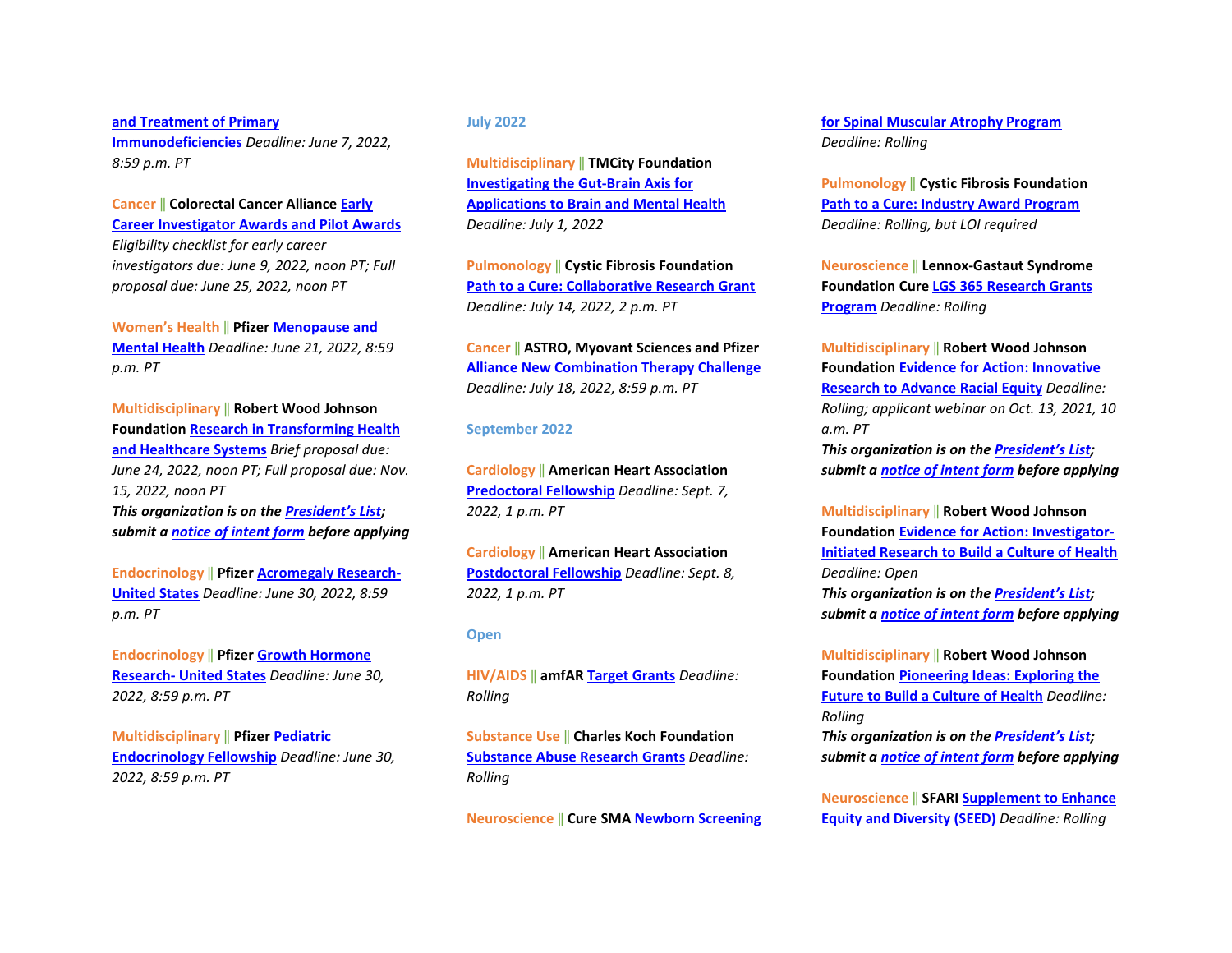**[and Treatment of Primary](https://cdn.pfizer.com/pfizercom/2022-04/2022%20Primary%20Immunodeficiencies_General%20RFP%20Template-Education-v.Feb2022_FINAL.pdf?thwr8eE75fjVjzORLh9gCgr7uMoiRqne)  [Immunodeficiencies](https://cdn.pfizer.com/pfizercom/2022-04/2022%20Primary%20Immunodeficiencies_General%20RFP%20Template-Education-v.Feb2022_FINAL.pdf?thwr8eE75fjVjzORLh9gCgr7uMoiRqne)** *Deadline: June 7, 2022, 8:59 p.m. PT* 

**Cancer** ‖ **Colorectal Cancer Alliance [Early](https://www.ccalliance.org/research/apply-for-research-grant)  [Career Investigator Awards and Pilot Awards](https://www.ccalliance.org/research/apply-for-research-grant)** *Eligibility checklist for early career investigators due: June 9, 2022, noon PT; Full proposal due: June 25, 2022, noon PT*

**Women's Health** ‖ **Pfize[r Menopause and](https://cdn.pfizer.com/pfizercom/2022-04/GMG_2022-IM-US_MenopauseMentalHealth.pdf?aAoPbkh2Cu2_g0Ai0ghViDzXuzK_R3j_)  [Mental Health](https://cdn.pfizer.com/pfizercom/2022-04/GMG_2022-IM-US_MenopauseMentalHealth.pdf?aAoPbkh2Cu2_g0Ai0ghViDzXuzK_R3j_)** *Deadline: June 21, 2022, 8:59 p.m. PT*

**Multidisciplinary** ‖ **Robert Wood Johnson Foundation [Research in Transforming Health](https://www.rwjf.org/en/library/funding-opportunities/2022/research-in-transforming-health-and-healthcare-systems.html?rid=0034400001rlqDeAAI&et_cid=2531459)  [and Healthcare Systems](https://www.rwjf.org/en/library/funding-opportunities/2022/research-in-transforming-health-and-healthcare-systems.html?rid=0034400001rlqDeAAI&et_cid=2531459)** *Brief proposal due: June 24, 2022, noon PT; Full proposal due: Nov. 15, 2022, noon PT* *This organization is on th[e President's List;](https://o2.ohsu.edu/foundations/research-program-grants/ohsu-presidents-list/index.cfm)* 

*submit a [notice of intent form](https://app.smartsheet.com/b/form?EQBCT=b4b914967b774308b1947bbf8ab27b15) before applying* 

**Endocrinology** ‖ **Pfize[r Acromegaly Research-](chrome-extension://efaidnbmnnnibpcajpcglclefindmkaj/viewer.html?pdfurl=https%3A%2F%2Fcdn.pfizer.com%2Fpfizercom%2F2022-03%2FGMG_2022-RD-US_EndocrinologyResearch.pdf%3FUli417SwGd06IkhQ7pMr.Ay78zKhu.pf&clen=982952&chunk=true)[United States](chrome-extension://efaidnbmnnnibpcajpcglclefindmkaj/viewer.html?pdfurl=https%3A%2F%2Fcdn.pfizer.com%2Fpfizercom%2F2022-03%2FGMG_2022-RD-US_EndocrinologyResearch.pdf%3FUli417SwGd06IkhQ7pMr.Ay78zKhu.pf&clen=982952&chunk=true)** *Deadline: June 30, 2022, 8:59 p.m. PT* 

**Endocrinology** ‖ **Pfize[r Growth Hormone](chrome-extension://efaidnbmnnnibpcajpcglclefindmkaj/viewer.html?pdfurl=https%3A%2F%2Fcdn.pfizer.com%2Fpfizercom%2F2022-04%2F2022%2520RD%2520US%2520Growth%2520Hormone%2520Research.pdf%3FoxiTvcADX8WQipxWNQPnvhPgzPY7auwi&clen=994144&chunk=true)  [Research- United States](chrome-extension://efaidnbmnnnibpcajpcglclefindmkaj/viewer.html?pdfurl=https%3A%2F%2Fcdn.pfizer.com%2Fpfizercom%2F2022-04%2F2022%2520RD%2520US%2520Growth%2520Hormone%2520Research.pdf%3FoxiTvcADX8WQipxWNQPnvhPgzPY7auwi&clen=994144&chunk=true)** *Deadline: June 30, 2022, 8:59 p.m. PT* 

**Multidisciplinary** ‖ **Pfizer [Pediatric](chrome-extension://efaidnbmnnnibpcajpcglclefindmkaj/viewer.html?pdfurl=https%3A%2F%2Fcdn.pfizer.com%2Fpfizercom%2F2022-04%2FGMG_2022-RD-US_PediatricEndocrinologyFellowship.pdf%3FPgjMelENRKuo7zQrypMUVhIj9JFcOqXy&clen=1315798&chunk=true)  [Endocrinology Fellowship](chrome-extension://efaidnbmnnnibpcajpcglclefindmkaj/viewer.html?pdfurl=https%3A%2F%2Fcdn.pfizer.com%2Fpfizercom%2F2022-04%2FGMG_2022-RD-US_PediatricEndocrinologyFellowship.pdf%3FPgjMelENRKuo7zQrypMUVhIj9JFcOqXy&clen=1315798&chunk=true)** *Deadline: June 30, 2022, 8:59 p.m. PT*

#### **July 2022**

**Multidisciplinary** ‖ **TMCity Foundation [Investigating the Gut-Brain Axis for](https://www.tmcity.org/rfp)  [Applications to Brain and Mental Health](https://www.tmcity.org/rfp)** *Deadline: July 1, 2022* 

**Pulmonology** ‖ **Cystic Fibrosis Foundation [Path to a Cure: Collaborative Research Grant](https://www.cff.org/researchers/path-cure-collaborative-research-grant)** *Deadline: July 14, 2022, 2 p.m. PT*

**Cancer** ‖ **ASTRO, Myovant Sciences and Pfizer [Alliance New Combination Therapy Challenge](chrome-extension://efaidnbmnnnibpcajpcglclefindmkaj/viewer.html?pdfurl=https%3A%2F%2Fcdn.pfizer.com%2Fpfizercom%2F2022-03%2FGMG_2022-ASTRO-MyovantSciences-PfizerAllianceNewCombinationTherapyChallenge.pdf%3FYc7QKmRNHOp3jD3izLXB.TcYigBJqXp1&clen=219204&chunk=true)** *Deadline: July 18, 2022, 8:59 p.m. PT*

#### **September 2022**

**Cardiology** ‖ **American Heart Association [Predoctoral Fellowship](https://professional.heart.org/en/research-programs/application-information/predoctoral-fellowship)** *Deadline: Sept. 7, 2022, 1 p.m. PT* 

**Cardiology** ‖ **American Heart Association [Postdoctoral Fellowship](https://professional.heart.org/en/research-programs/application-information/postdoctoral-fellowship)** *Deadline: Sept. 8, 2022, 1 p.m. PT*

#### **Open**

**HIV/AIDS** ‖ **amfA[R Target Grants](https://www.amfar.org/target-grants-rfp-new/)** *Deadline: Rolling*

**Substance Use** ‖ **Charles Koch Foundation [Substance Abuse Research Grants](https://www.charleskochfoundation.org/apply-for-grants/requests-for-proposals/communities/substance-abuse-research-grants/)** *Deadline: Rolling*

**Neuroscience** ‖ **Cure SMA [Newborn Screening](https://www.curesma.org/funding-opportunities/)** 

**[for Spinal Muscular Atrophy Program](https://www.curesma.org/funding-opportunities/)** *Deadline: Rolling*

**Pulmonology** ‖ **Cystic Fibrosis Foundation [Path to a Cure: Industry Award Program](https://www.cff.org/Research/Researcher-Resources/Awards-and-Grants/Research-Awards/Industry-Funding-Opportunities/)** *Deadline: Rolling, but LOI required*

**Neuroscience** ‖ **Lennox-Gastaut Syndrome Foundation Cur[e LGS 365 Research Grants](https://www.lgsfoundation.org/365-research-grants/)  [Program](https://www.lgsfoundation.org/365-research-grants/)** *Deadline: Rolling*

**Multidisciplinary** ‖ **Robert Wood Johnson Foundation [Evidence for Action: Innovative](https://www.rwjf.org/en/library/funding-opportunities/2021/evidence-for-action--innovative-research-to-advance-racial-equity.html?rid=0034400001rlqDeAAI&et_cid=2479482)  [Research to Advance Racial Equity](https://www.rwjf.org/en/library/funding-opportunities/2021/evidence-for-action--innovative-research-to-advance-racial-equity.html?rid=0034400001rlqDeAAI&et_cid=2479482)** *Deadline: Rolling; applicant webinar on Oct. 13, 2021, 10*   $a \, m \, PT$ *This organization is on th[e President's List;](https://o2.ohsu.edu/foundations/research-program-grants/ohsu-presidents-list/index.cfm)* 

*submit a [notice of intent form](https://app.smartsheet.com/b/form?EQBCT=b4b914967b774308b1947bbf8ab27b15) before applying* 

**Multidisciplinary** ‖ **Robert Wood Johnson Foundation [Evidence for Action: Investigator-](https://www.rwjf.org/en/library/funding-opportunities/2019/evidence-for-action-investigator-initiated-research-to-build-a-culture-of-health.html?rid=0034400001rlqDeAAI&et_cid=1899534)[Initiated Research to Build a Culture of Health](https://www.rwjf.org/en/library/funding-opportunities/2019/evidence-for-action-investigator-initiated-research-to-build-a-culture-of-health.html?rid=0034400001rlqDeAAI&et_cid=1899534)** *Deadline: Open This organization is on th[e President's List;](https://o2.ohsu.edu/foundations/research-program-grants/ohsu-presidents-list/index.cfm)  submit a [notice of intent form](https://app.smartsheet.com/b/form?EQBCT=b4b914967b774308b1947bbf8ab27b15) before applying* 

**Multidisciplinary** ‖ **Robert Wood Johnson Foundation [Pioneering Ideas: Exploring the](https://www.rwjf.org/en/library/funding-opportunities/2020/pioneering-ideas-2020-exploring-the-future-to-build-a-culture-of-health.html?rid=0034400001rlqDeAAI&et_cid=2046258)  [Future to Build a Culture of Health](https://www.rwjf.org/en/library/funding-opportunities/2020/pioneering-ideas-2020-exploring-the-future-to-build-a-culture-of-health.html?rid=0034400001rlqDeAAI&et_cid=2046258)** *Deadline: Rolling*

*This organization is on th[e President's List;](https://o2.ohsu.edu/foundations/research-program-grants/ohsu-presidents-list/index.cfm)  submit a [notice of intent form](https://app.smartsheet.com/b/form?EQBCT=b4b914967b774308b1947bbf8ab27b15) before applying* 

**Neuroscience** ‖ **SFAR[I Supplement to Enhance](https://www.sfari.org/grant/sfari-seed-rfa?tab=rfa)  [Equity and Diversity \(SEED\)](https://www.sfari.org/grant/sfari-seed-rfa?tab=rfa)** *Deadline: Rolling*